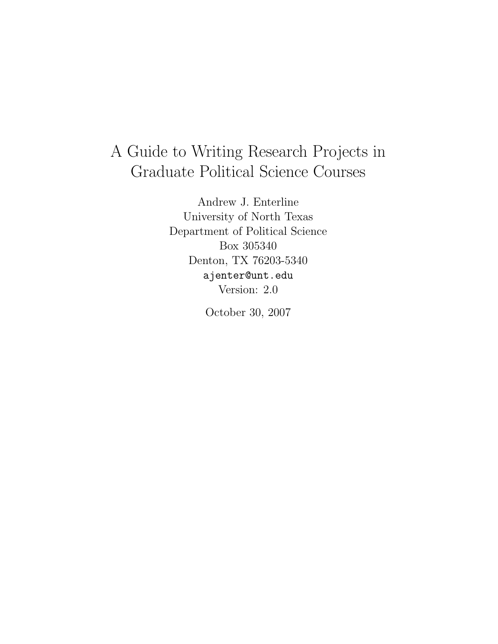# A Guide to Writing Research Projects in Graduate Political Science Courses

Andrew J. Enterline University of North Texas Department of Political Science Box 305340 Denton, TX 76203-5340 ajenter@unt.edu Version: 2.0

October 30, 2007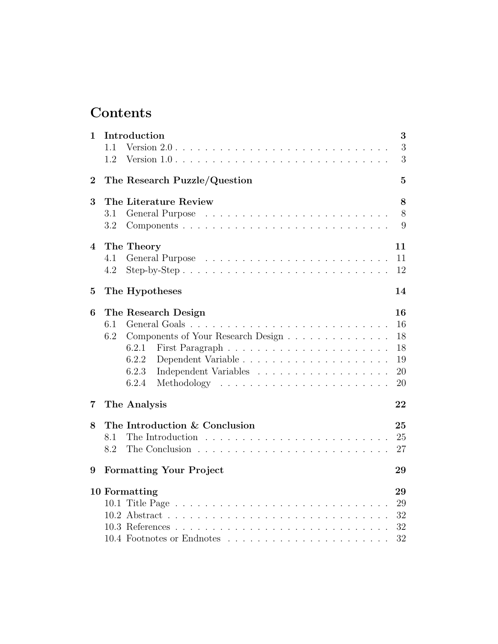# Contents

| 1                       | Introduction<br>Version $2.0 \ldots \ldots \ldots \ldots \ldots \ldots \ldots \ldots \ldots \ldots$<br>1.1<br>1.2 | 3<br>3<br>3                            |
|-------------------------|-------------------------------------------------------------------------------------------------------------------|----------------------------------------|
| $\bf{2}$                | The Research Puzzle/Question                                                                                      | $\overline{5}$                         |
| 3                       | The Literature Review<br>General Purpose<br>3.1                                                                   | 8<br>8                                 |
|                         | 3.2                                                                                                               | 9                                      |
| $\overline{\mathbf{4}}$ | The Theory<br>4.1<br>4.2                                                                                          | 11<br>11<br>12                         |
| 5                       | The Hypotheses                                                                                                    | 14                                     |
| 6                       | The Research Design<br>6.1<br>6.2<br>Components of Your Research Design<br>6.2.1<br>6.2.2<br>6.2.3<br>6.2.4       | 16<br>16<br>18<br>18<br>19<br>20<br>20 |
| 7                       | The Analysis                                                                                                      | 22                                     |
| 8                       | The Introduction & Conclusion<br>8.1<br>8.2                                                                       | 25<br>25<br>27                         |
| 9                       | <b>Formatting Your Project</b>                                                                                    | 29                                     |
|                         | 10 Formatting<br>10.1                                                                                             | 29<br>29<br>32<br>32<br>32             |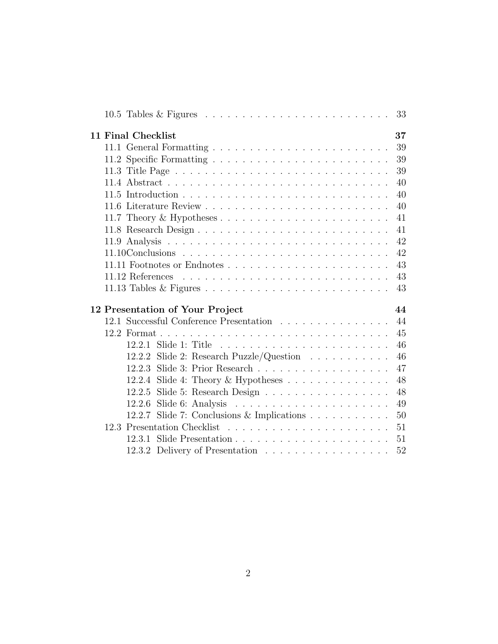| 10.5 Tables & Figures $\ldots \ldots \ldots \ldots \ldots \ldots \ldots \ldots \ldots$ | 33 |
|----------------------------------------------------------------------------------------|----|
| 11 Final Checklist                                                                     | 37 |
|                                                                                        | 39 |
|                                                                                        | 39 |
|                                                                                        | 39 |
|                                                                                        | 40 |
|                                                                                        | 40 |
|                                                                                        | 40 |
|                                                                                        | 41 |
|                                                                                        | 41 |
|                                                                                        | 42 |
|                                                                                        | 42 |
|                                                                                        | 43 |
|                                                                                        | 43 |
|                                                                                        | 43 |
|                                                                                        |    |
| 12 Presentation of Your Project                                                        | 44 |
| 12.1 Successful Conference Presentation                                                | 44 |
|                                                                                        | 45 |
|                                                                                        | 46 |
| Slide 2: Research Puzzle/Question $\ldots \ldots \ldots$<br>12.2.2                     | 46 |
|                                                                                        | 47 |
| Slide 4: Theory & Hypotheses $\dots \dots \dots \dots$<br>12.2.4                       | 48 |
| 12.2.5 Slide 5: Research Design                                                        | 48 |
| 12.2.6                                                                                 | 49 |
| 12.2.7 Slide 7: Conclusions & Implications                                             | 50 |
|                                                                                        | 51 |
| 12.3.1                                                                                 | 51 |
| 12.3.2 Delivery of Presentation                                                        | 52 |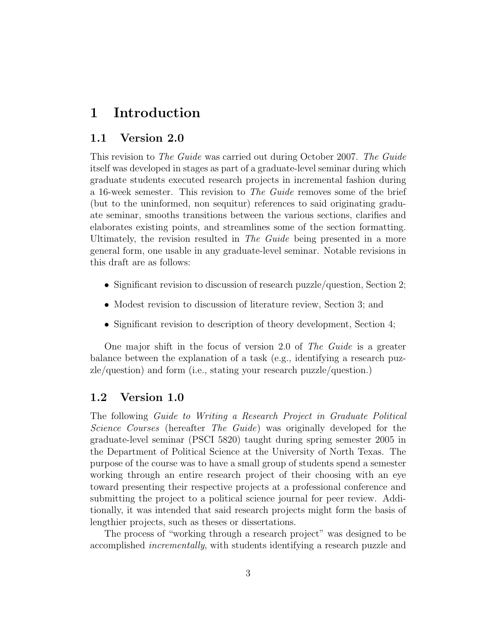# 1 Introduction

### 1.1 Version 2.0

This revision to The Guide was carried out during October 2007. The Guide itself was developed in stages as part of a graduate-level seminar during which graduate students executed research projects in incremental fashion during a 16-week semester. This revision to The Guide removes some of the brief (but to the uninformed, non sequitur) references to said originating graduate seminar, smooths transitions between the various sections, clarifies and elaborates existing points, and streamlines some of the section formatting. Ultimately, the revision resulted in The Guide being presented in a more general form, one usable in any graduate-level seminar. Notable revisions in this draft are as follows:

- Significant revision to discussion of research puzzle/question, Section 2;
- Modest revision to discussion of literature review, Section 3; and
- Significant revision to description of theory development, Section 4;

One major shift in the focus of version 2.0 of The Guide is a greater balance between the explanation of a task (e.g., identifying a research puzzle/question) and form (i.e., stating your research puzzle/question.)

### 1.2 Version 1.0

The following Guide to Writing a Research Project in Graduate Political Science Courses (hereafter The Guide) was originally developed for the graduate-level seminar (PSCI 5820) taught during spring semester 2005 in the Department of Political Science at the University of North Texas. The purpose of the course was to have a small group of students spend a semester working through an entire research project of their choosing with an eye toward presenting their respective projects at a professional conference and submitting the project to a political science journal for peer review. Additionally, it was intended that said research projects might form the basis of lengthier projects, such as theses or dissertations.

The process of "working through a research project" was designed to be accomplished incrementally, with students identifying a research puzzle and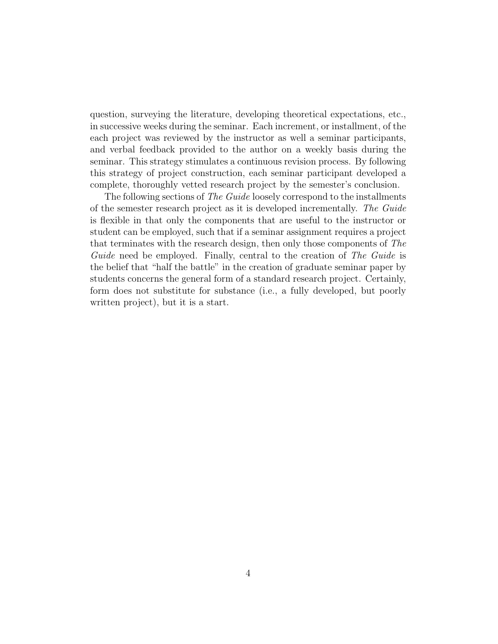question, surveying the literature, developing theoretical expectations, etc., in successive weeks during the seminar. Each increment, or installment, of the each project was reviewed by the instructor as well a seminar participants, and verbal feedback provided to the author on a weekly basis during the seminar. This strategy stimulates a continuous revision process. By following this strategy of project construction, each seminar participant developed a complete, thoroughly vetted research project by the semester's conclusion.

The following sections of The Guide loosely correspond to the installments of the semester research project as it is developed incrementally. The Guide is flexible in that only the components that are useful to the instructor or student can be employed, such that if a seminar assignment requires a project that terminates with the research design, then only those components of The Guide need be employed. Finally, central to the creation of The Guide is the belief that "half the battle" in the creation of graduate seminar paper by students concerns the general form of a standard research project. Certainly, form does not substitute for substance (i.e., a fully developed, but poorly written project), but it is a start.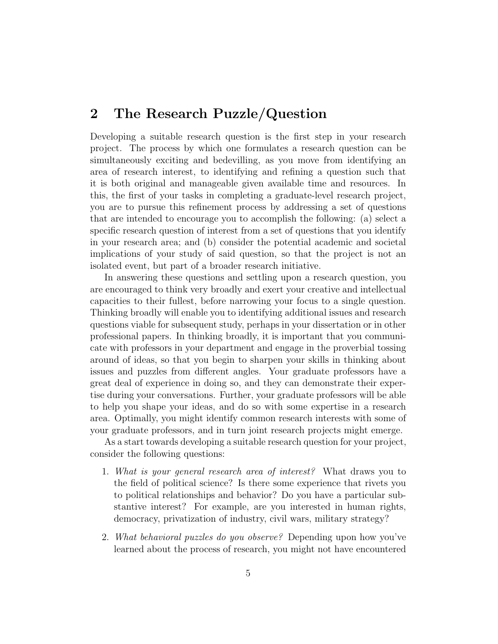# 2 The Research Puzzle/Question

Developing a suitable research question is the first step in your research project. The process by which one formulates a research question can be simultaneously exciting and bedevilling, as you move from identifying an area of research interest, to identifying and refining a question such that it is both original and manageable given available time and resources. In this, the first of your tasks in completing a graduate-level research project, you are to pursue this refinement process by addressing a set of questions that are intended to encourage you to accomplish the following: (a) select a specific research question of interest from a set of questions that you identify in your research area; and (b) consider the potential academic and societal implications of your study of said question, so that the project is not an isolated event, but part of a broader research initiative.

In answering these questions and settling upon a research question, you are encouraged to think very broadly and exert your creative and intellectual capacities to their fullest, before narrowing your focus to a single question. Thinking broadly will enable you to identifying additional issues and research questions viable for subsequent study, perhaps in your dissertation or in other professional papers. In thinking broadly, it is important that you communicate with professors in your department and engage in the proverbial tossing around of ideas, so that you begin to sharpen your skills in thinking about issues and puzzles from different angles. Your graduate professors have a great deal of experience in doing so, and they can demonstrate their expertise during your conversations. Further, your graduate professors will be able to help you shape your ideas, and do so with some expertise in a research area. Optimally, you might identify common research interests with some of your graduate professors, and in turn joint research projects might emerge.

As a start towards developing a suitable research question for your project, consider the following questions:

- 1. What is your general research area of interest? What draws you to the field of political science? Is there some experience that rivets you to political relationships and behavior? Do you have a particular substantive interest? For example, are you interested in human rights, democracy, privatization of industry, civil wars, military strategy?
- 2. What behavioral puzzles do you observe? Depending upon how you've learned about the process of research, you might not have encountered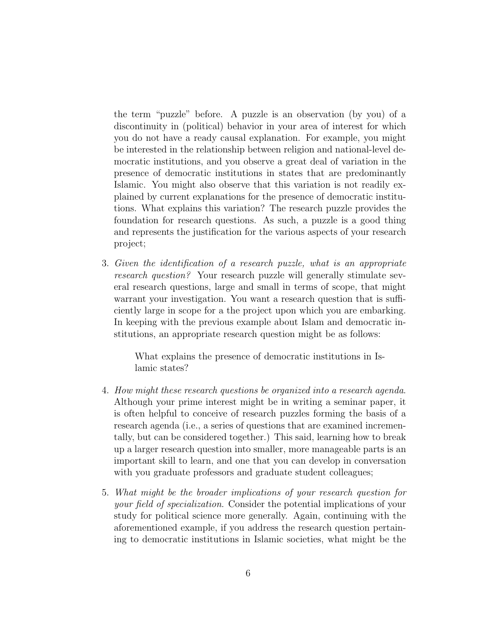the term "puzzle" before. A puzzle is an observation (by you) of a discontinuity in (political) behavior in your area of interest for which you do not have a ready causal explanation. For example, you might be interested in the relationship between religion and national-level democratic institutions, and you observe a great deal of variation in the presence of democratic institutions in states that are predominantly Islamic. You might also observe that this variation is not readily explained by current explanations for the presence of democratic institutions. What explains this variation? The research puzzle provides the foundation for research questions. As such, a puzzle is a good thing and represents the justification for the various aspects of your research project;

3. Given the identification of a research puzzle, what is an appropriate research question? Your research puzzle will generally stimulate several research questions, large and small in terms of scope, that might warrant your investigation. You want a research question that is sufficiently large in scope for a the project upon which you are embarking. In keeping with the previous example about Islam and democratic institutions, an appropriate research question might be as follows:

> What explains the presence of democratic institutions in Islamic states?

- 4. How might these research questions be organized into a research agenda. Although your prime interest might be in writing a seminar paper, it is often helpful to conceive of research puzzles forming the basis of a research agenda (i.e., a series of questions that are examined incrementally, but can be considered together.) This said, learning how to break up a larger research question into smaller, more manageable parts is an important skill to learn, and one that you can develop in conversation with you graduate professors and graduate student colleagues;
- 5. What might be the broader implications of your research question for your field of specialization. Consider the potential implications of your study for political science more generally. Again, continuing with the aforementioned example, if you address the research question pertaining to democratic institutions in Islamic societies, what might be the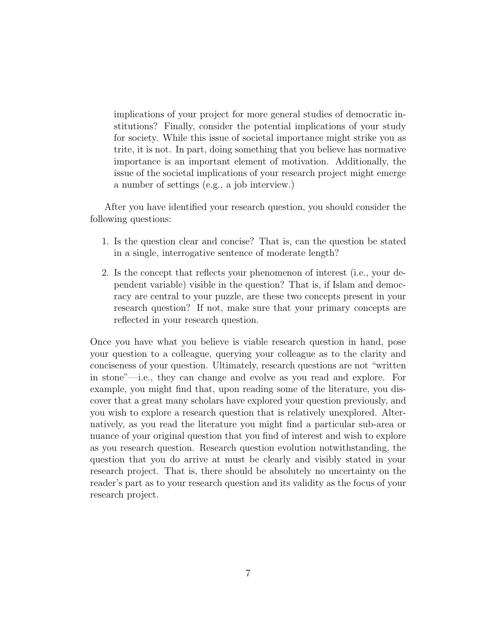implications of your project for more general studies of democratic institutions? Finally, consider the potential implications of your study for society. While this issue of societal importance might strike you as trite, it is not. In part, doing something that you believe has normative importance is an important element of motivation. Additionally, the issue of the societal implications of your research project might emerge a number of settings (e.g., a job interview.)

After you have identified your research question, you should consider the following questions:

- 1. Is the question clear and concise? That is, can the question be stated in a single, interrogative sentence of moderate length?
- 2. Is the concept that reflects your phenomenon of interest (i.e., your dependent variable) visible in the question? That is, if Islam and democracy are central to your puzzle, are these two concepts present in your research question? If not, make sure that your primary concepts are reflected in your research question.

Once you have what you believe is viable research question in hand, pose your question to a colleague, querying your colleague as to the clarity and conciseness of your question. Ultimately, research questions are not "written in stone"—i.e., they can change and evolve as you read and explore. For example, you might find that, upon reading some of the literature, you discover that a great many scholars have explored your question previously, and you wish to explore a research question that is relatively unexplored. Alternatively, as you read the literature you might find a particular sub-area or nuance of your original question that you find of interest and wish to explore as you research question. Research question evolution notwithstanding, the question that you do arrive at must be clearly and visibly stated in your research project. That is, there should be absolutely no uncertainty on the reader's part as to your research question and its validity as the focus of your research project.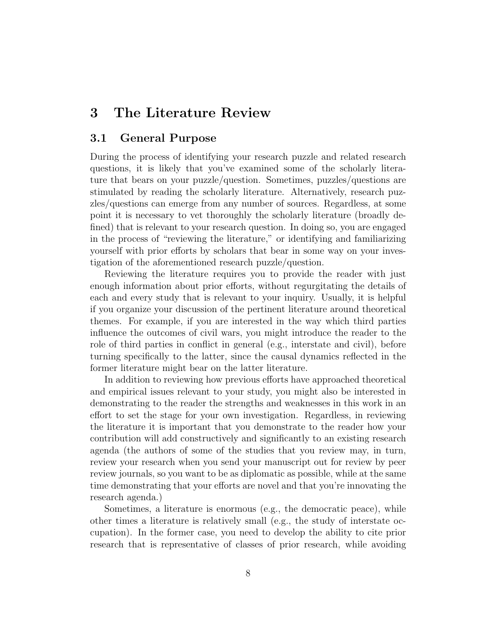# 3 The Literature Review

### 3.1 General Purpose

During the process of identifying your research puzzle and related research questions, it is likely that you've examined some of the scholarly literature that bears on your puzzle/question. Sometimes, puzzles/questions are stimulated by reading the scholarly literature. Alternatively, research puzzles/questions can emerge from any number of sources. Regardless, at some point it is necessary to vet thoroughly the scholarly literature (broadly defined) that is relevant to your research question. In doing so, you are engaged in the process of "reviewing the literature," or identifying and familiarizing yourself with prior efforts by scholars that bear in some way on your investigation of the aforementioned research puzzle/question.

Reviewing the literature requires you to provide the reader with just enough information about prior efforts, without regurgitating the details of each and every study that is relevant to your inquiry. Usually, it is helpful if you organize your discussion of the pertinent literature around theoretical themes. For example, if you are interested in the way which third parties influence the outcomes of civil wars, you might introduce the reader to the role of third parties in conflict in general (e.g., interstate and civil), before turning specifically to the latter, since the causal dynamics reflected in the former literature might bear on the latter literature.

In addition to reviewing how previous efforts have approached theoretical and empirical issues relevant to your study, you might also be interested in demonstrating to the reader the strengths and weaknesses in this work in an effort to set the stage for your own investigation. Regardless, in reviewing the literature it is important that you demonstrate to the reader how your contribution will add constructively and significantly to an existing research agenda (the authors of some of the studies that you review may, in turn, review your research when you send your manuscript out for review by peer review journals, so you want to be as diplomatic as possible, while at the same time demonstrating that your efforts are novel and that you're innovating the research agenda.)

Sometimes, a literature is enormous (e.g., the democratic peace), while other times a literature is relatively small (e.g., the study of interstate occupation). In the former case, you need to develop the ability to cite prior research that is representative of classes of prior research, while avoiding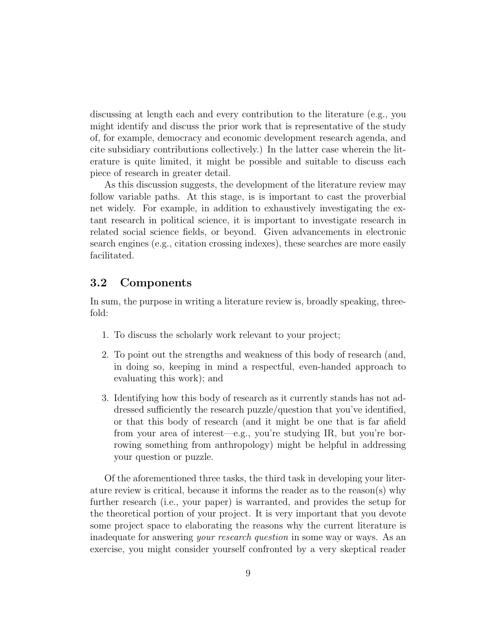discussing at length each and every contribution to the literature (e.g., you might identify and discuss the prior work that is representative of the study of, for example, democracy and economic development research agenda, and cite subsidiary contributions collectively.) In the latter case wherein the literature is quite limited, it might be possible and suitable to discuss each piece of research in greater detail.

As this discussion suggests, the development of the literature review may follow variable paths. At this stage, is is important to cast the proverbial net widely. For example, in addition to exhaustively investigating the extant research in political science, it is important to investigate research in related social science fields, or beyond. Given advancements in electronic search engines (e.g., citation crossing indexes), these searches are more easily facilitated.

# 3.2 Components

In sum, the purpose in writing a literature review is, broadly speaking, threefold:

- 1. To discuss the scholarly work relevant to your project;
- 2. To point out the strengths and weakness of this body of research (and, in doing so, keeping in mind a respectful, even-handed approach to evaluating this work); and
- 3. Identifying how this body of research as it currently stands has not addressed sufficiently the research puzzle/question that you've identified, or that this body of research (and it might be one that is far afield from your area of interest—e.g., you're studying IR, but you're borrowing something from anthropology) might be helpful in addressing your question or puzzle.

Of the aforementioned three tasks, the third task in developing your literature review is critical, because it informs the reader as to the reason(s) why further research (i.e., your paper) is warranted, and provides the setup for the theoretical portion of your project. It is very important that you devote some project space to elaborating the reasons why the current literature is inadequate for answering *your research question* in some way or ways. As an exercise, you might consider yourself confronted by a very skeptical reader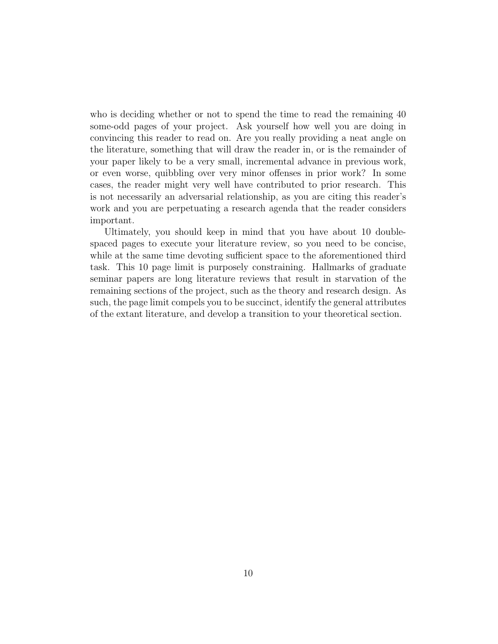who is deciding whether or not to spend the time to read the remaining 40 some-odd pages of your project. Ask yourself how well you are doing in convincing this reader to read on. Are you really providing a neat angle on the literature, something that will draw the reader in, or is the remainder of your paper likely to be a very small, incremental advance in previous work, or even worse, quibbling over very minor offenses in prior work? In some cases, the reader might very well have contributed to prior research. This is not necessarily an adversarial relationship, as you are citing this reader's work and you are perpetuating a research agenda that the reader considers important.

Ultimately, you should keep in mind that you have about 10 doublespaced pages to execute your literature review, so you need to be concise, while at the same time devoting sufficient space to the aforementioned third task. This 10 page limit is purposely constraining. Hallmarks of graduate seminar papers are long literature reviews that result in starvation of the remaining sections of the project, such as the theory and research design. As such, the page limit compels you to be succinct, identify the general attributes of the extant literature, and develop a transition to your theoretical section.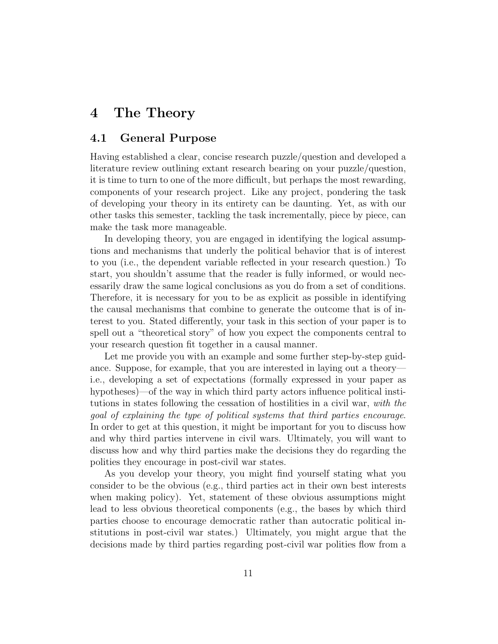# 4 The Theory

### 4.1 General Purpose

Having established a clear, concise research puzzle/question and developed a literature review outlining extant research bearing on your puzzle/question, it is time to turn to one of the more difficult, but perhaps the most rewarding, components of your research project. Like any project, pondering the task of developing your theory in its entirety can be daunting. Yet, as with our other tasks this semester, tackling the task incrementally, piece by piece, can make the task more manageable.

In developing theory, you are engaged in identifying the logical assumptions and mechanisms that underly the political behavior that is of interest to you (i.e., the dependent variable reflected in your research question.) To start, you shouldn't assume that the reader is fully informed, or would necessarily draw the same logical conclusions as you do from a set of conditions. Therefore, it is necessary for you to be as explicit as possible in identifying the causal mechanisms that combine to generate the outcome that is of interest to you. Stated differently, your task in this section of your paper is to spell out a "theoretical story" of how you expect the components central to your research question fit together in a causal manner.

Let me provide you with an example and some further step-by-step guidance. Suppose, for example, that you are interested in laying out a theory i.e., developing a set of expectations (formally expressed in your paper as hypotheses)—of the way in which third party actors influence political institutions in states following the cessation of hostilities in a civil war, with the goal of explaining the type of political systems that third parties encourage. In order to get at this question, it might be important for you to discuss how and why third parties intervene in civil wars. Ultimately, you will want to discuss how and why third parties make the decisions they do regarding the polities they encourage in post-civil war states.

As you develop your theory, you might find yourself stating what you consider to be the obvious (e.g., third parties act in their own best interests when making policy). Yet, statement of these obvious assumptions might lead to less obvious theoretical components (e.g., the bases by which third parties choose to encourage democratic rather than autocratic political institutions in post-civil war states.) Ultimately, you might argue that the decisions made by third parties regarding post-civil war polities flow from a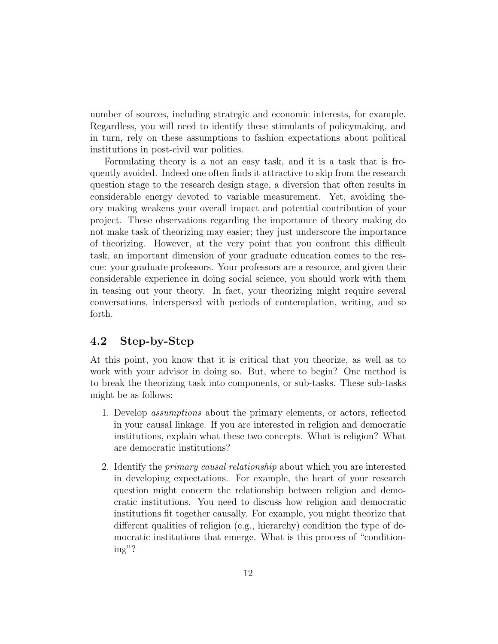number of sources, including strategic and economic interests, for example. Regardless, you will need to identify these stimulants of policymaking, and in turn, rely on these assumptions to fashion expectations about political institutions in post-civil war polities.

Formulating theory is a not an easy task, and it is a task that is frequently avoided. Indeed one often finds it attractive to skip from the research question stage to the research design stage, a diversion that often results in considerable energy devoted to variable measurement. Yet, avoiding theory making weakens your overall impact and potential contribution of your project. These observations regarding the importance of theory making do not make task of theorizing may easier; they just underscore the importance of theorizing. However, at the very point that you confront this difficult task, an important dimension of your graduate education comes to the rescue: your graduate professors. Your professors are a resource, and given their considerable experience in doing social science, you should work with them in teasing out your theory. In fact, your theorizing might require several conversations, interspersed with periods of contemplation, writing, and so forth.

# 4.2 Step-by-Step

At this point, you know that it is critical that you theorize, as well as to work with your advisor in doing so. But, where to begin? One method is to break the theorizing task into components, or sub-tasks. These sub-tasks might be as follows:

- 1. Develop assumptions about the primary elements, or actors, reflected in your causal linkage. If you are interested in religion and democratic institutions, explain what these two concepts. What is religion? What are democratic institutions?
- 2. Identify the *primary causal relationship* about which you are interested in developing expectations. For example, the heart of your research question might concern the relationship between religion and democratic institutions. You need to discuss how religion and democratic institutions fit together causally. For example, you might theorize that different qualities of religion (e.g., hierarchy) condition the type of democratic institutions that emerge. What is this process of "conditioning"?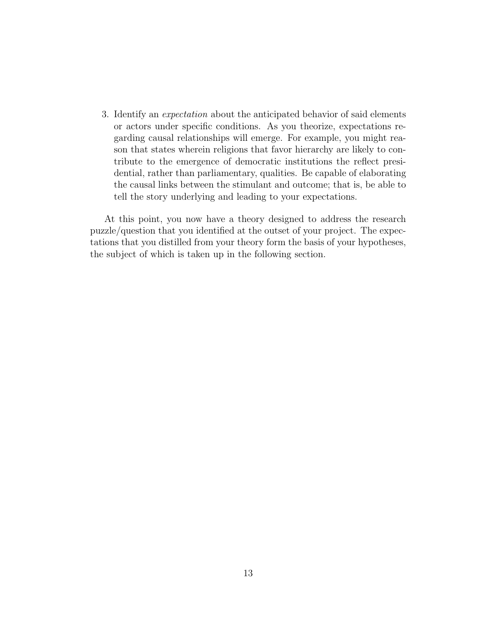3. Identify an expectation about the anticipated behavior of said elements or actors under specific conditions. As you theorize, expectations regarding causal relationships will emerge. For example, you might reason that states wherein religions that favor hierarchy are likely to contribute to the emergence of democratic institutions the reflect presidential, rather than parliamentary, qualities. Be capable of elaborating the causal links between the stimulant and outcome; that is, be able to tell the story underlying and leading to your expectations.

At this point, you now have a theory designed to address the research puzzle/question that you identified at the outset of your project. The expectations that you distilled from your theory form the basis of your hypotheses, the subject of which is taken up in the following section.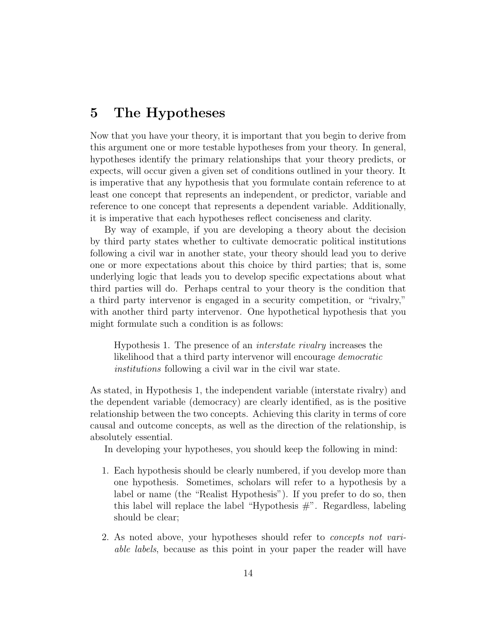# 5 The Hypotheses

Now that you have your theory, it is important that you begin to derive from this argument one or more testable hypotheses from your theory. In general, hypotheses identify the primary relationships that your theory predicts, or expects, will occur given a given set of conditions outlined in your theory. It is imperative that any hypothesis that you formulate contain reference to at least one concept that represents an independent, or predictor, variable and reference to one concept that represents a dependent variable. Additionally, it is imperative that each hypotheses reflect conciseness and clarity.

By way of example, if you are developing a theory about the decision by third party states whether to cultivate democratic political institutions following a civil war in another state, your theory should lead you to derive one or more expectations about this choice by third parties; that is, some underlying logic that leads you to develop specific expectations about what third parties will do. Perhaps central to your theory is the condition that a third party intervenor is engaged in a security competition, or "rivalry," with another third party intervenor. One hypothetical hypothesis that you might formulate such a condition is as follows:

Hypothesis 1. The presence of an interstate rivalry increases the likelihood that a third party intervenor will encourage democratic institutions following a civil war in the civil war state.

As stated, in Hypothesis 1, the independent variable (interstate rivalry) and the dependent variable (democracy) are clearly identified, as is the positive relationship between the two concepts. Achieving this clarity in terms of core causal and outcome concepts, as well as the direction of the relationship, is absolutely essential.

In developing your hypotheses, you should keep the following in mind:

- 1. Each hypothesis should be clearly numbered, if you develop more than one hypothesis. Sometimes, scholars will refer to a hypothesis by a label or name (the "Realist Hypothesis"). If you prefer to do so, then this label will replace the label "Hypothesis  $\#$ ". Regardless, labeling should be clear;
- 2. As noted above, your hypotheses should refer to concepts not variable labels, because as this point in your paper the reader will have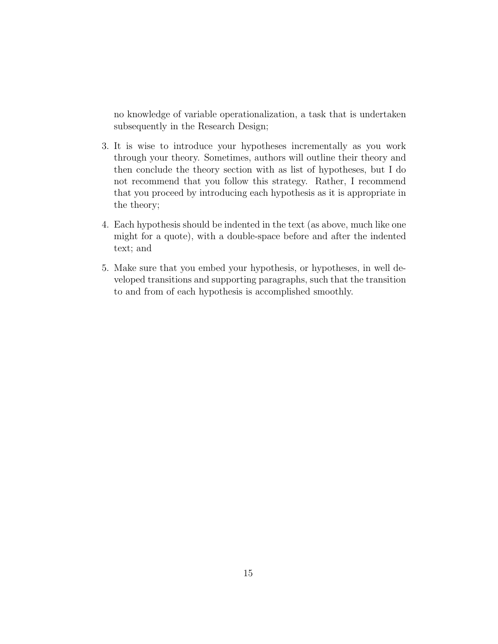no knowledge of variable operationalization, a task that is undertaken subsequently in the Research Design;

- 3. It is wise to introduce your hypotheses incrementally as you work through your theory. Sometimes, authors will outline their theory and then conclude the theory section with as list of hypotheses, but I do not recommend that you follow this strategy. Rather, I recommend that you proceed by introducing each hypothesis as it is appropriate in the theory;
- 4. Each hypothesis should be indented in the text (as above, much like one might for a quote), with a double-space before and after the indented text; and
- 5. Make sure that you embed your hypothesis, or hypotheses, in well developed transitions and supporting paragraphs, such that the transition to and from of each hypothesis is accomplished smoothly.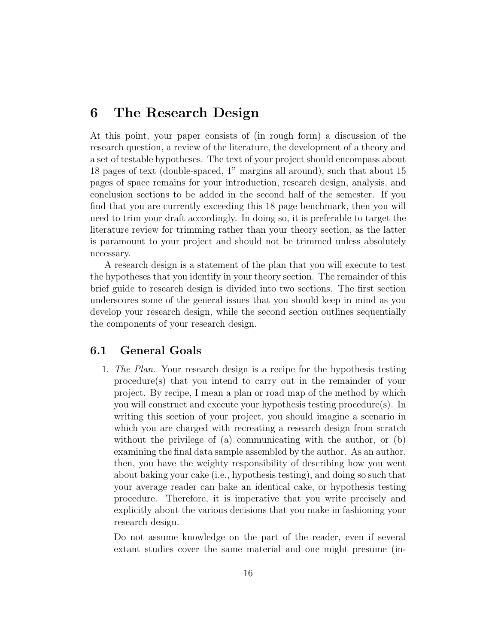# 6 The Research Design

At this point, your paper consists of (in rough form) a discussion of the research question, a review of the literature, the development of a theory and a set of testable hypotheses. The text of your project should encompass about 18 pages of text (double-spaced, 1" margins all around), such that about 15 pages of space remains for your introduction, research design, analysis, and conclusion sections to be added in the second half of the semester. If you find that you are currently exceeding this 18 page benchmark, then you will need to trim your draft accordingly. In doing so, it is preferable to target the literature review for trimming rather than your theory section, as the latter is paramount to your project and should not be trimmed unless absolutely necessary.

A research design is a statement of the plan that you will execute to test the hypotheses that you identify in your theory section. The remainder of this brief guide to research design is divided into two sections. The first section underscores some of the general issues that you should keep in mind as you develop your research design, while the second section outlines sequentially the components of your research design.

# 6.1 General Goals

1. The Plan. Your research design is a recipe for the hypothesis testing procedure(s) that you intend to carry out in the remainder of your project. By recipe, I mean a plan or road map of the method by which you will construct and execute your hypothesis testing procedure(s). In writing this section of your project, you should imagine a scenario in which you are charged with recreating a research design from scratch without the privilege of (a) communicating with the author, or (b) examining the final data sample assembled by the author. As an author, then, you have the weighty responsibility of describing how you went about baking your cake (i.e., hypothesis testing), and doing so such that your average reader can bake an identical cake, or hypothesis testing procedure. Therefore, it is imperative that you write precisely and explicitly about the various decisions that you make in fashioning your research design.

Do not assume knowledge on the part of the reader, even if several extant studies cover the same material and one might presume (in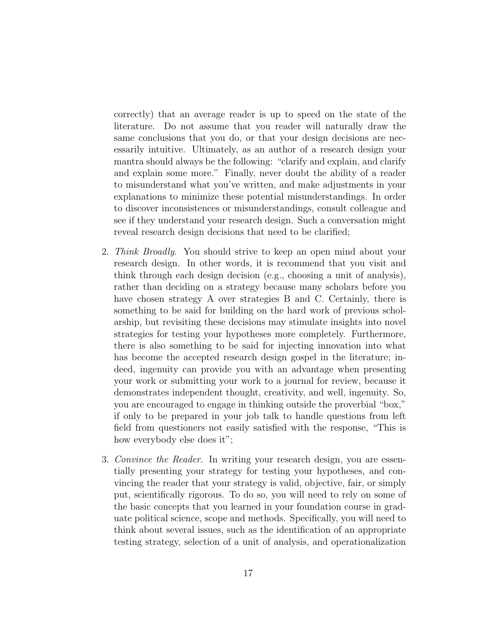correctly) that an average reader is up to speed on the state of the literature. Do not assume that you reader will naturally draw the same conclusions that you do, or that your design decisions are necessarily intuitive. Ultimately, as an author of a research design your mantra should always be the following: "clarify and explain, and clarify and explain some more." Finally, never doubt the ability of a reader to misunderstand what you've written, and make adjustments in your explanations to minimize these potential misunderstandings. In order to discover inconsistences or misunderstandings, consult colleague and see if they understand your research design. Such a conversation might reveal research design decisions that need to be clarified;

- 2. Think Broadly. You should strive to keep an open mind about your research design. In other words, it is recommend that you visit and think through each design decision (e.g., choosing a unit of analysis), rather than deciding on a strategy because many scholars before you have chosen strategy A over strategies B and C. Certainly, there is something to be said for building on the hard work of previous scholarship, but revisiting these decisions may stimulate insights into novel strategies for testing your hypotheses more completely. Furthermore, there is also something to be said for injecting innovation into what has become the accepted research design gospel in the literature; indeed, ingenuity can provide you with an advantage when presenting your work or submitting your work to a journal for review, because it demonstrates independent thought, creativity, and well, ingenuity. So, you are encouraged to engage in thinking outside the proverbial "box," if only to be prepared in your job talk to handle questions from left field from questioners not easily satisfied with the response, "This is how everybody else does it";
- 3. Convince the Reader. In writing your research design, you are essentially presenting your strategy for testing your hypotheses, and convincing the reader that your strategy is valid, objective, fair, or simply put, scientifically rigorous. To do so, you will need to rely on some of the basic concepts that you learned in your foundation course in graduate political science, scope and methods. Specifically, you will need to think about several issues, such as the identification of an appropriate testing strategy, selection of a unit of analysis, and operationalization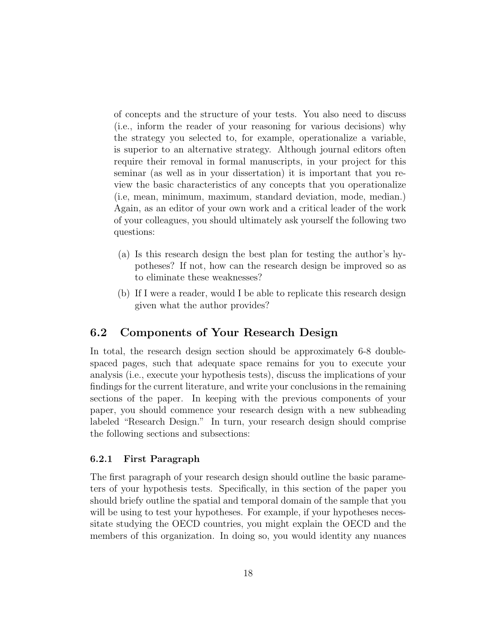of concepts and the structure of your tests. You also need to discuss (i.e., inform the reader of your reasoning for various decisions) why the strategy you selected to, for example, operationalize a variable, is superior to an alternative strategy. Although journal editors often require their removal in formal manuscripts, in your project for this seminar (as well as in your dissertation) it is important that you review the basic characteristics of any concepts that you operationalize (i.e, mean, minimum, maximum, standard deviation, mode, median.) Again, as an editor of your own work and a critical leader of the work of your colleagues, you should ultimately ask yourself the following two questions:

- (a) Is this research design the best plan for testing the author's hypotheses? If not, how can the research design be improved so as to eliminate these weaknesses?
- (b) If I were a reader, would I be able to replicate this research design given what the author provides?

# 6.2 Components of Your Research Design

In total, the research design section should be approximately 6-8 doublespaced pages, such that adequate space remains for you to execute your analysis (i.e., execute your hypothesis tests), discuss the implications of your findings for the current literature, and write your conclusions in the remaining sections of the paper. In keeping with the previous components of your paper, you should commence your research design with a new subheading labeled "Research Design." In turn, your research design should comprise the following sections and subsections:

### 6.2.1 First Paragraph

The first paragraph of your research design should outline the basic parameters of your hypothesis tests. Specifically, in this section of the paper you should briefy outline the spatial and temporal domain of the sample that you will be using to test your hypotheses. For example, if your hypotheses necessitate studying the OECD countries, you might explain the OECD and the members of this organization. In doing so, you would identity any nuances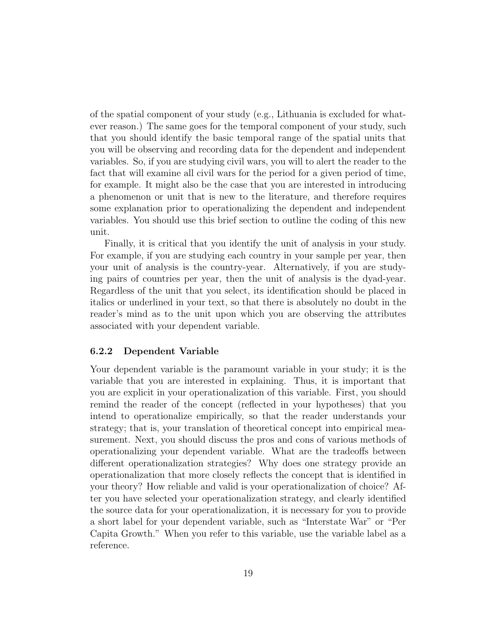of the spatial component of your study (e.g., Lithuania is excluded for whatever reason.) The same goes for the temporal component of your study, such that you should identify the basic temporal range of the spatial units that you will be observing and recording data for the dependent and independent variables. So, if you are studying civil wars, you will to alert the reader to the fact that will examine all civil wars for the period for a given period of time, for example. It might also be the case that you are interested in introducing a phenomenon or unit that is new to the literature, and therefore requires some explanation prior to operationalizing the dependent and independent variables. You should use this brief section to outline the coding of this new unit.

Finally, it is critical that you identify the unit of analysis in your study. For example, if you are studying each country in your sample per year, then your unit of analysis is the country-year. Alternatively, if you are studying pairs of countries per year, then the unit of analysis is the dyad-year. Regardless of the unit that you select, its identification should be placed in italics or underlined in your text, so that there is absolutely no doubt in the reader's mind as to the unit upon which you are observing the attributes associated with your dependent variable.

#### 6.2.2 Dependent Variable

Your dependent variable is the paramount variable in your study; it is the variable that you are interested in explaining. Thus, it is important that you are explicit in your operationalization of this variable. First, you should remind the reader of the concept (reflected in your hypotheses) that you intend to operationalize empirically, so that the reader understands your strategy; that is, your translation of theoretical concept into empirical measurement. Next, you should discuss the pros and cons of various methods of operationalizing your dependent variable. What are the tradeoffs between different operationalization strategies? Why does one strategy provide an operationalization that more closely reflects the concept that is identified in your theory? How reliable and valid is your operationalization of choice? After you have selected your operationalization strategy, and clearly identified the source data for your operationalization, it is necessary for you to provide a short label for your dependent variable, such as "Interstate War" or "Per Capita Growth." When you refer to this variable, use the variable label as a reference.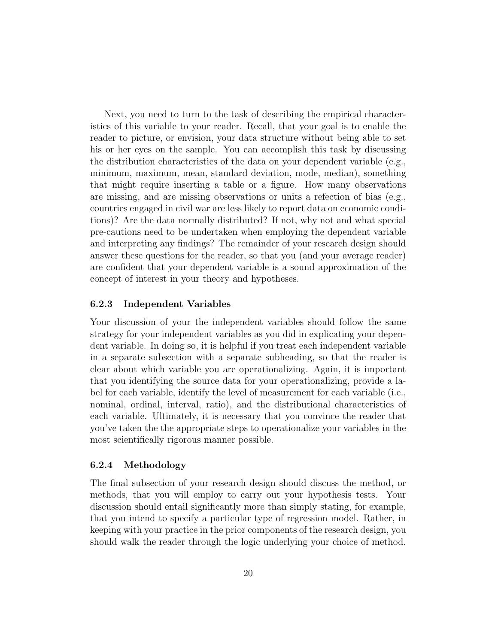Next, you need to turn to the task of describing the empirical characteristics of this variable to your reader. Recall, that your goal is to enable the reader to picture, or envision, your data structure without being able to set his or her eyes on the sample. You can accomplish this task by discussing the distribution characteristics of the data on your dependent variable (e.g., minimum, maximum, mean, standard deviation, mode, median), something that might require inserting a table or a figure. How many observations are missing, and are missing observations or units a refection of bias (e.g., countries engaged in civil war are less likely to report data on economic conditions)? Are the data normally distributed? If not, why not and what special pre-cautions need to be undertaken when employing the dependent variable and interpreting any findings? The remainder of your research design should answer these questions for the reader, so that you (and your average reader) are confident that your dependent variable is a sound approximation of the concept of interest in your theory and hypotheses.

#### 6.2.3 Independent Variables

Your discussion of your the independent variables should follow the same strategy for your independent variables as you did in explicating your dependent variable. In doing so, it is helpful if you treat each independent variable in a separate subsection with a separate subheading, so that the reader is clear about which variable you are operationalizing. Again, it is important that you identifying the source data for your operationalizing, provide a label for each variable, identify the level of measurement for each variable (i.e., nominal, ordinal, interval, ratio), and the distributional characteristics of each variable. Ultimately, it is necessary that you convince the reader that you've taken the the appropriate steps to operationalize your variables in the most scientifically rigorous manner possible.

#### 6.2.4 Methodology

The final subsection of your research design should discuss the method, or methods, that you will employ to carry out your hypothesis tests. Your discussion should entail significantly more than simply stating, for example, that you intend to specify a particular type of regression model. Rather, in keeping with your practice in the prior components of the research design, you should walk the reader through the logic underlying your choice of method.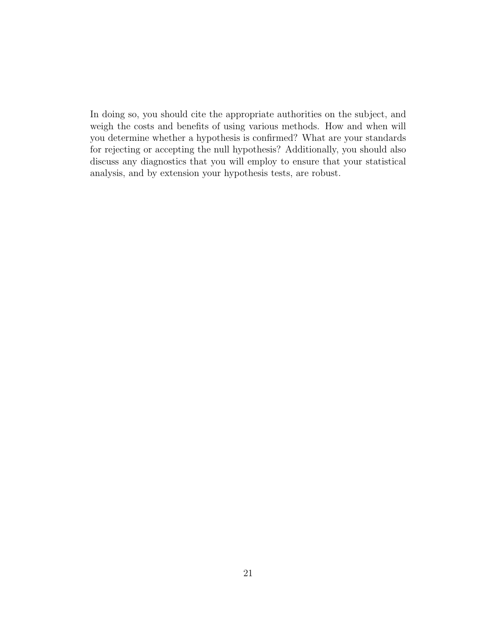In doing so, you should cite the appropriate authorities on the subject, and weigh the costs and benefits of using various methods. How and when will you determine whether a hypothesis is confirmed? What are your standards for rejecting or accepting the null hypothesis? Additionally, you should also discuss any diagnostics that you will employ to ensure that your statistical analysis, and by extension your hypothesis tests, are robust.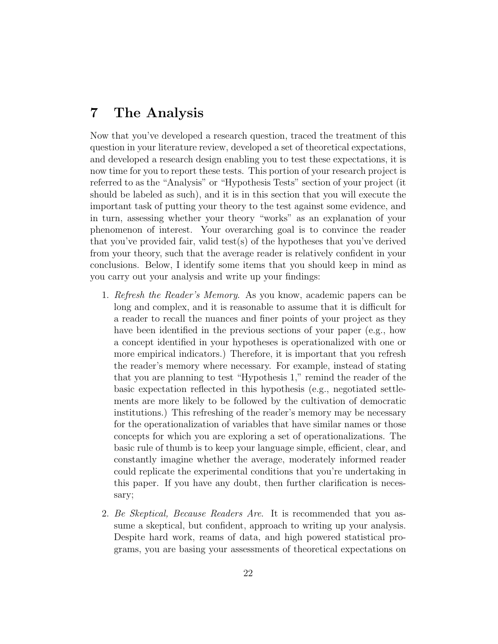# 7 The Analysis

Now that you've developed a research question, traced the treatment of this question in your literature review, developed a set of theoretical expectations, and developed a research design enabling you to test these expectations, it is now time for you to report these tests. This portion of your research project is referred to as the "Analysis" or "Hypothesis Tests" section of your project (it should be labeled as such), and it is in this section that you will execute the important task of putting your theory to the test against some evidence, and in turn, assessing whether your theory "works" as an explanation of your phenomenon of interest. Your overarching goal is to convince the reader that you've provided fair, valid test(s) of the hypotheses that you've derived from your theory, such that the average reader is relatively confident in your conclusions. Below, I identify some items that you should keep in mind as you carry out your analysis and write up your findings:

- 1. Refresh the Reader's Memory. As you know, academic papers can be long and complex, and it is reasonable to assume that it is difficult for a reader to recall the nuances and finer points of your project as they have been identified in the previous sections of your paper (e.g., how a concept identified in your hypotheses is operationalized with one or more empirical indicators.) Therefore, it is important that you refresh the reader's memory where necessary. For example, instead of stating that you are planning to test "Hypothesis 1," remind the reader of the basic expectation reflected in this hypothesis (e.g., negotiated settlements are more likely to be followed by the cultivation of democratic institutions.) This refreshing of the reader's memory may be necessary for the operationalization of variables that have similar names or those concepts for which you are exploring a set of operationalizations. The basic rule of thumb is to keep your language simple, efficient, clear, and constantly imagine whether the average, moderately informed reader could replicate the experimental conditions that you're undertaking in this paper. If you have any doubt, then further clarification is necessary;
- 2. Be Skeptical, Because Readers Are. It is recommended that you assume a skeptical, but confident, approach to writing up your analysis. Despite hard work, reams of data, and high powered statistical programs, you are basing your assessments of theoretical expectations on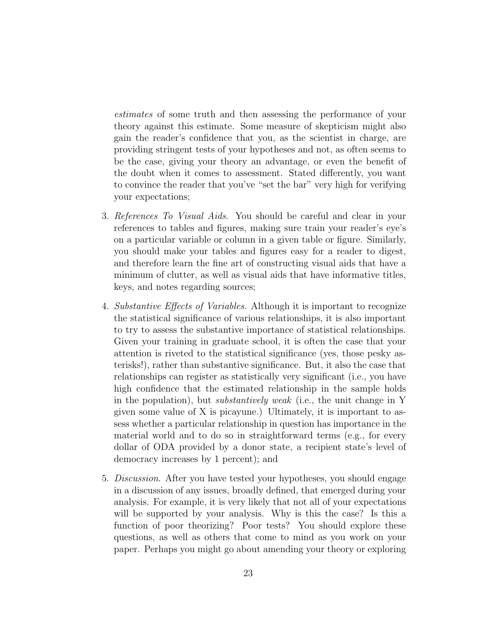estimates of some truth and then assessing the performance of your theory against this estimate. Some measure of skepticism might also gain the reader's confidence that you, as the scientist in charge, are providing stringent tests of your hypotheses and not, as often seems to be the case, giving your theory an advantage, or even the benefit of the doubt when it comes to assessment. Stated differently, you want to convince the reader that you've "set the bar" very high for verifying your expectations;

- 3. References To Visual Aids. You should be careful and clear in your references to tables and figures, making sure train your reader's eye's on a particular variable or column in a given table or figure. Similarly, you should make your tables and figures easy for a reader to digest, and therefore learn the fine art of constructing visual aids that have a minimum of clutter, as well as visual aids that have informative titles, keys, and notes regarding sources;
- 4. Substantive Effects of Variables. Although it is important to recognize the statistical significance of various relationships, it is also important to try to assess the substantive importance of statistical relationships. Given your training in graduate school, it is often the case that your attention is riveted to the statistical significance (yes, those pesky asterisks!), rather than substantive significance. But, it also the case that relationships can register as statistically very significant (i.e., you have high confidence that the estimated relationship in the sample holds in the population), but substantively weak (i.e., the unit change in Y given some value of X is picayune.) Ultimately, it is important to assess whether a particular relationship in question has importance in the material world and to do so in straightforward terms (e.g., for every dollar of ODA provided by a donor state, a recipient state's level of democracy increases by 1 percent); and
- 5. Discussion. After you have tested your hypotheses, you should engage in a discussion of any issues, broadly defined, that emerged during your analysis. For example, it is very likely that not all of your expectations will be supported by your analysis. Why is this the case? Is this a function of poor theorizing? Poor tests? You should explore these questions, as well as others that come to mind as you work on your paper. Perhaps you might go about amending your theory or exploring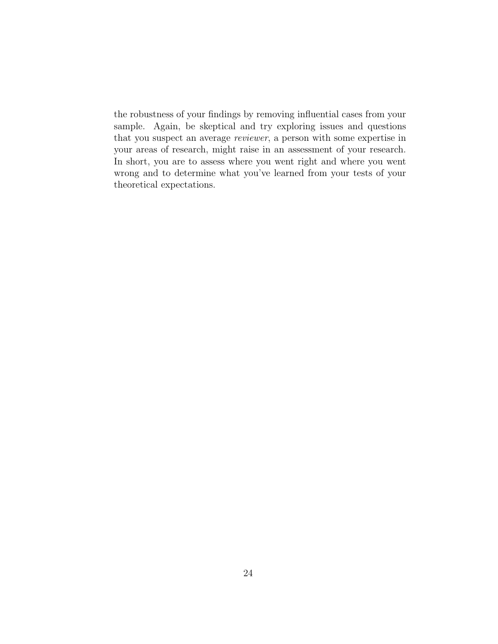the robustness of your findings by removing influential cases from your sample. Again, be skeptical and try exploring issues and questions that you suspect an average reviewer, a person with some expertise in your areas of research, might raise in an assessment of your research. In short, you are to assess where you went right and where you went wrong and to determine what you've learned from your tests of your theoretical expectations.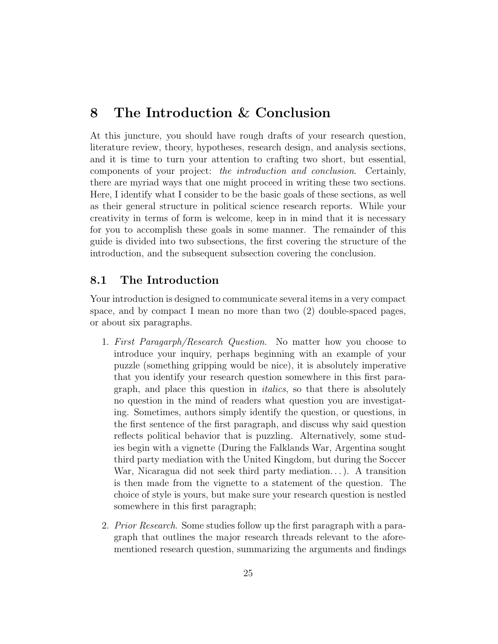# 8 The Introduction & Conclusion

At this juncture, you should have rough drafts of your research question, literature review, theory, hypotheses, research design, and analysis sections, and it is time to turn your attention to crafting two short, but essential, components of your project: the introduction and conclusion. Certainly, there are myriad ways that one might proceed in writing these two sections. Here, I identify what I consider to be the basic goals of these sections, as well as their general structure in political science research reports. While your creativity in terms of form is welcome, keep in in mind that it is necessary for you to accomplish these goals in some manner. The remainder of this guide is divided into two subsections, the first covering the structure of the introduction, and the subsequent subsection covering the conclusion.

# 8.1 The Introduction

Your introduction is designed to communicate several items in a very compact space, and by compact I mean no more than two (2) double-spaced pages, or about six paragraphs.

- 1. First Paragarph/Research Question. No matter how you choose to introduce your inquiry, perhaps beginning with an example of your puzzle (something gripping would be nice), it is absolutely imperative that you identify your research question somewhere in this first paragraph, and place this question in italics, so that there is absolutely no question in the mind of readers what question you are investigating. Sometimes, authors simply identify the question, or questions, in the first sentence of the first paragraph, and discuss why said question reflects political behavior that is puzzling. Alternatively, some studies begin with a vignette (During the Falklands War, Argentina sought third party mediation with the United Kingdom, but during the Soccer War, Nicaragua did not seek third party mediation. . . ). A transition is then made from the vignette to a statement of the question. The choice of style is yours, but make sure your research question is nestled somewhere in this first paragraph;
- 2. *Prior Research.* Some studies follow up the first paragraph with a paragraph that outlines the major research threads relevant to the aforementioned research question, summarizing the arguments and findings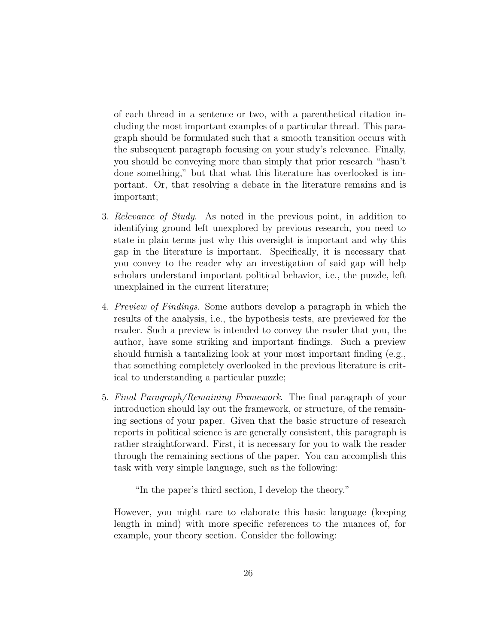of each thread in a sentence or two, with a parenthetical citation including the most important examples of a particular thread. This paragraph should be formulated such that a smooth transition occurs with the subsequent paragraph focusing on your study's relevance. Finally, you should be conveying more than simply that prior research "hasn't done something," but that what this literature has overlooked is important. Or, that resolving a debate in the literature remains and is important;

- 3. Relevance of Study. As noted in the previous point, in addition to identifying ground left unexplored by previous research, you need to state in plain terms just why this oversight is important and why this gap in the literature is important. Specifically, it is necessary that you convey to the reader why an investigation of said gap will help scholars understand important political behavior, i.e., the puzzle, left unexplained in the current literature;
- 4. Preview of Findings. Some authors develop a paragraph in which the results of the analysis, i.e., the hypothesis tests, are previewed for the reader. Such a preview is intended to convey the reader that you, the author, have some striking and important findings. Such a preview should furnish a tantalizing look at your most important finding (e.g., that something completely overlooked in the previous literature is critical to understanding a particular puzzle;
- 5. Final Paragraph/Remaining Framework. The final paragraph of your introduction should lay out the framework, or structure, of the remaining sections of your paper. Given that the basic structure of research reports in political science is are generally consistent, this paragraph is rather straightforward. First, it is necessary for you to walk the reader through the remaining sections of the paper. You can accomplish this task with very simple language, such as the following:

"In the paper's third section, I develop the theory."

However, you might care to elaborate this basic language (keeping length in mind) with more specific references to the nuances of, for example, your theory section. Consider the following: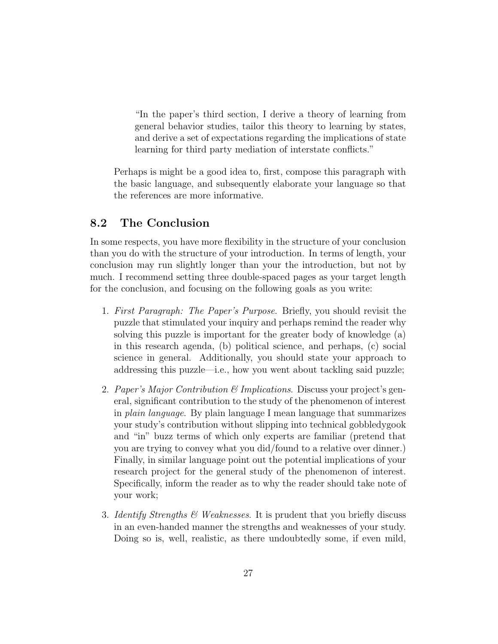"In the paper's third section, I derive a theory of learning from general behavior studies, tailor this theory to learning by states, and derive a set of expectations regarding the implications of state learning for third party mediation of interstate conflicts."

Perhaps is might be a good idea to, first, compose this paragraph with the basic language, and subsequently elaborate your language so that the references are more informative.

# 8.2 The Conclusion

In some respects, you have more flexibility in the structure of your conclusion than you do with the structure of your introduction. In terms of length, your conclusion may run slightly longer than your the introduction, but not by much. I recommend setting three double-spaced pages as your target length for the conclusion, and focusing on the following goals as you write:

- 1. First Paragraph: The Paper's Purpose. Briefly, you should revisit the puzzle that stimulated your inquiry and perhaps remind the reader why solving this puzzle is important for the greater body of knowledge (a) in this research agenda, (b) political science, and perhaps, (c) social science in general. Additionally, you should state your approach to addressing this puzzle—i.e., how you went about tackling said puzzle;
- 2. Paper's Major Contribution  $\mathcal{B}$  Implications. Discuss your project's general, significant contribution to the study of the phenomenon of interest in plain language. By plain language I mean language that summarizes your study's contribution without slipping into technical gobbledygook and "in" buzz terms of which only experts are familiar (pretend that you are trying to convey what you did/found to a relative over dinner.) Finally, in similar language point out the potential implications of your research project for the general study of the phenomenon of interest. Specifically, inform the reader as to why the reader should take note of your work;
- 3. Identify Strengths  $\mathcal{B}$  Weaknesses. It is prudent that you briefly discuss in an even-handed manner the strengths and weaknesses of your study. Doing so is, well, realistic, as there undoubtedly some, if even mild,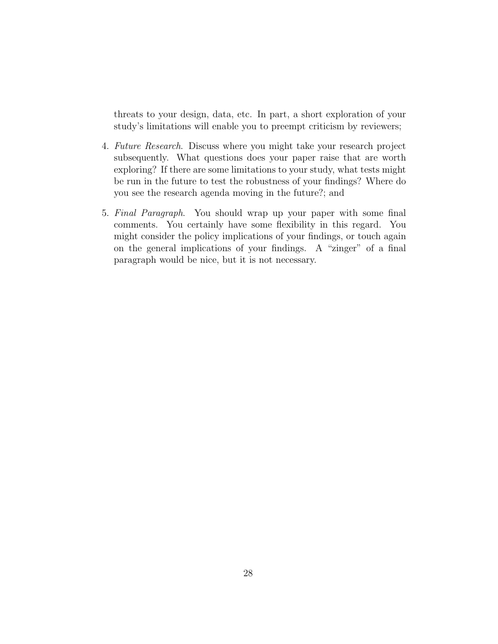threats to your design, data, etc. In part, a short exploration of your study's limitations will enable you to preempt criticism by reviewers;

- 4. Future Research. Discuss where you might take your research project subsequently. What questions does your paper raise that are worth exploring? If there are some limitations to your study, what tests might be run in the future to test the robustness of your findings? Where do you see the research agenda moving in the future?; and
- 5. Final Paragraph. You should wrap up your paper with some final comments. You certainly have some flexibility in this regard. You might consider the policy implications of your findings, or touch again on the general implications of your findings. A "zinger" of a final paragraph would be nice, but it is not necessary.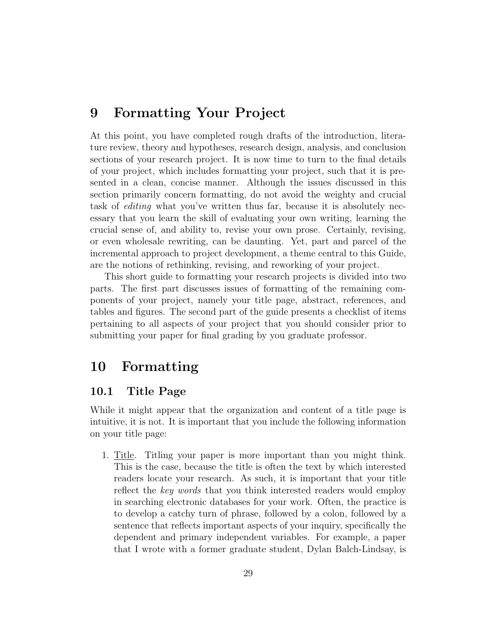# 9 Formatting Your Project

At this point, you have completed rough drafts of the introduction, literature review, theory and hypotheses, research design, analysis, and conclusion sections of your research project. It is now time to turn to the final details of your project, which includes formatting your project, such that it is presented in a clean, concise manner. Although the issues discussed in this section primarily concern formatting, do not avoid the weighty and crucial task of editing what you've written thus far, because it is absolutely necessary that you learn the skill of evaluating your own writing, learning the crucial sense of, and ability to, revise your own prose. Certainly, revising, or even wholesale rewriting, can be daunting. Yet, part and parcel of the incremental approach to project development, a theme central to this Guide, are the notions of rethinking, revising, and reworking of your project.

This short guide to formatting your research projects is divided into two parts. The first part discusses issues of formatting of the remaining components of your project, namely your title page, abstract, references, and tables and figures. The second part of the guide presents a checklist of items pertaining to all aspects of your project that you should consider prior to submitting your paper for final grading by you graduate professor.

# 10 Formatting

# 10.1 Title Page

While it might appear that the organization and content of a title page is intuitive, it is not. It is important that you include the following information on your title page:

1. Title. Titling your paper is more important than you might think. This is the case, because the title is often the text by which interested readers locate your research. As such, it is important that your title reflect the key words that you think interested readers would employ in searching electronic databases for your work. Often, the practice is to develop a catchy turn of phrase, followed by a colon, followed by a sentence that reflects important aspects of your inquiry, specifically the dependent and primary independent variables. For example, a paper that I wrote with a former graduate student, Dylan Balch-Lindsay, is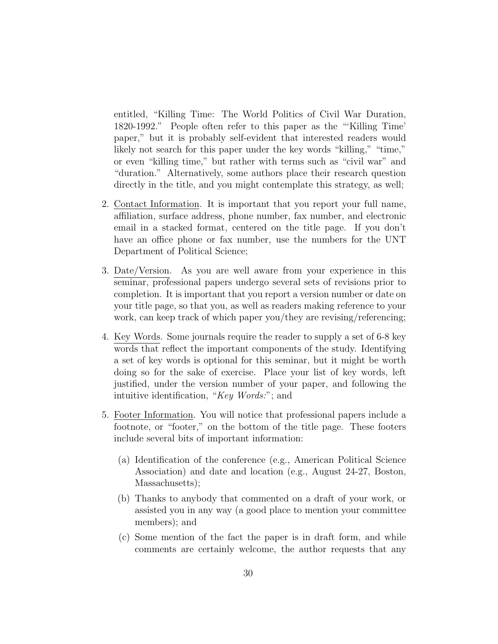entitled, "Killing Time: The World Politics of Civil War Duration, 1820-1992." People often refer to this paper as the "'Killing Time' paper," but it is probably self-evident that interested readers would likely not search for this paper under the key words "killing," "time," or even "killing time," but rather with terms such as "civil war" and "duration." Alternatively, some authors place their research question directly in the title, and you might contemplate this strategy, as well;

- 2. Contact Information. It is important that you report your full name, affiliation, surface address, phone number, fax number, and electronic email in a stacked format, centered on the title page. If you don't have an office phone or fax number, use the numbers for the UNT Department of Political Science;
- 3. Date/Version. As you are well aware from your experience in this seminar, professional papers undergo several sets of revisions prior to completion. It is important that you report a version number or date on your title page, so that you, as well as readers making reference to your work, can keep track of which paper you/they are revising/referencing;
- 4. Key Words. Some journals require the reader to supply a set of 6-8 key words that reflect the important components of the study. Identifying a set of key words is optional for this seminar, but it might be worth doing so for the sake of exercise. Place your list of key words, left justified, under the version number of your paper, and following the intuitive identification, "Key Words:"; and
- 5. Footer Information. You will notice that professional papers include a footnote, or "footer," on the bottom of the title page. These footers include several bits of important information:
	- (a) Identification of the conference (e.g., American Political Science Association) and date and location (e.g., August 24-27, Boston, Massachusetts);
	- (b) Thanks to anybody that commented on a draft of your work, or assisted you in any way (a good place to mention your committee members); and
	- (c) Some mention of the fact the paper is in draft form, and while comments are certainly welcome, the author requests that any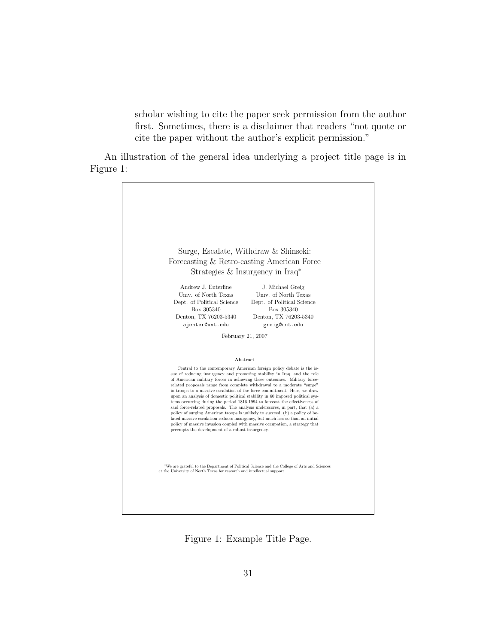scholar wishing to cite the paper seek permission from the author first. Sometimes, there is a disclaimer that readers "not quote or cite the paper without the author's explicit permission."

An illustration of the general idea underlying a project title page is in Figure 1:



Figure 1: Example Title Page.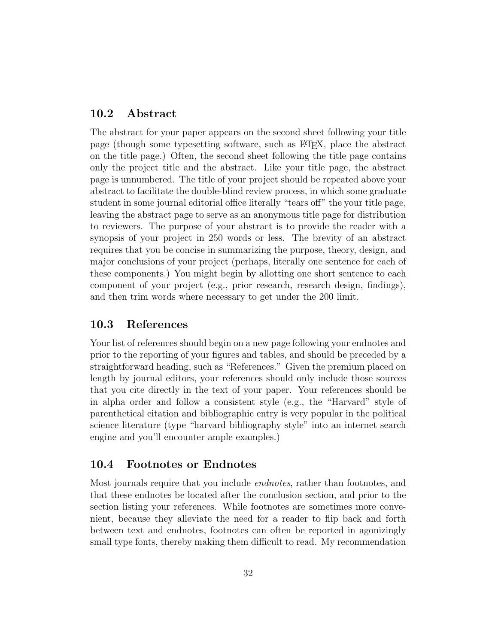### 10.2 Abstract

The abstract for your paper appears on the second sheet following your title page (though some typesetting software, such as L<sup>A</sup>TEX, place the abstract on the title page.) Often, the second sheet following the title page contains only the project title and the abstract. Like your title page, the abstract page is unnumbered. The title of your project should be repeated above your abstract to facilitate the double-blind review process, in which some graduate student in some journal editorial office literally "tears off" the your title page, leaving the abstract page to serve as an anonymous title page for distribution to reviewers. The purpose of your abstract is to provide the reader with a synopsis of your project in 250 words or less. The brevity of an abstract requires that you be concise in summarizing the purpose, theory, design, and major conclusions of your project (perhaps, literally one sentence for each of these components.) You might begin by allotting one short sentence to each component of your project (e.g., prior research, research design, findings), and then trim words where necessary to get under the 200 limit.

### 10.3 References

Your list of references should begin on a new page following your endnotes and prior to the reporting of your figures and tables, and should be preceded by a straightforward heading, such as "References." Given the premium placed on length by journal editors, your references should only include those sources that you cite directly in the text of your paper. Your references should be in alpha order and follow a consistent style (e.g., the "Harvard" style of parenthetical citation and bibliographic entry is very popular in the political science literature (type "harvard bibliography style" into an internet search engine and you'll encounter ample examples.)

### 10.4 Footnotes or Endnotes

Most journals require that you include endnotes, rather than footnotes, and that these endnotes be located after the conclusion section, and prior to the section listing your references. While footnotes are sometimes more convenient, because they alleviate the need for a reader to flip back and forth between text and endnotes, footnotes can often be reported in agonizingly small type fonts, thereby making them difficult to read. My recommendation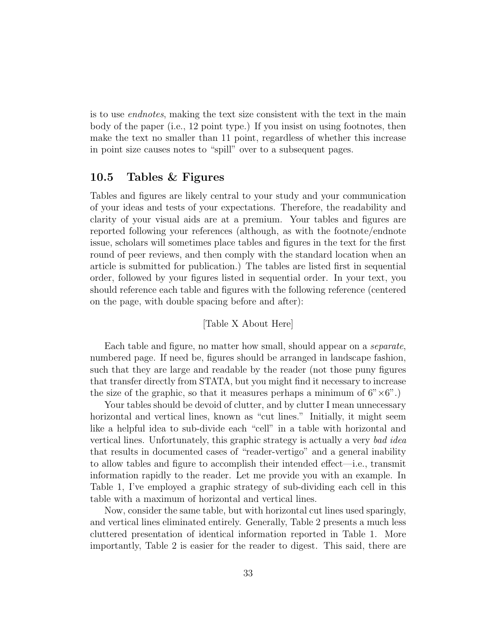is to use endnotes, making the text size consistent with the text in the main body of the paper (i.e., 12 point type.) If you insist on using footnotes, then make the text no smaller than 11 point, regardless of whether this increase in point size causes notes to "spill" over to a subsequent pages.

### 10.5 Tables & Figures

Tables and figures are likely central to your study and your communication of your ideas and tests of your expectations. Therefore, the readability and clarity of your visual aids are at a premium. Your tables and figures are reported following your references (although, as with the footnote/endnote issue, scholars will sometimes place tables and figures in the text for the first round of peer reviews, and then comply with the standard location when an article is submitted for publication.) The tables are listed first in sequential order, followed by your figures listed in sequential order. In your text, you should reference each table and figures with the following reference (centered on the page, with double spacing before and after):

#### [Table X About Here]

Each table and figure, no matter how small, should appear on a separate, numbered page. If need be, figures should be arranged in landscape fashion, such that they are large and readable by the reader (not those puny figures that transfer directly from STATA, but you might find it necessary to increase the size of the graphic, so that it measures perhaps a minimum of  $6" \times 6"$ .

Your tables should be devoid of clutter, and by clutter I mean unnecessary horizontal and vertical lines, known as "cut lines." Initially, it might seem like a helpful idea to sub-divide each "cell" in a table with horizontal and vertical lines. Unfortunately, this graphic strategy is actually a very bad idea that results in documented cases of "reader-vertigo" and a general inability to allow tables and figure to accomplish their intended effect—i.e., transmit information rapidly to the reader. Let me provide you with an example. In Table 1, I've employed a graphic strategy of sub-dividing each cell in this table with a maximum of horizontal and vertical lines.

Now, consider the same table, but with horizontal cut lines used sparingly, and vertical lines eliminated entirely. Generally, Table 2 presents a much less cluttered presentation of identical information reported in Table 1. More importantly, Table 2 is easier for the reader to digest. This said, there are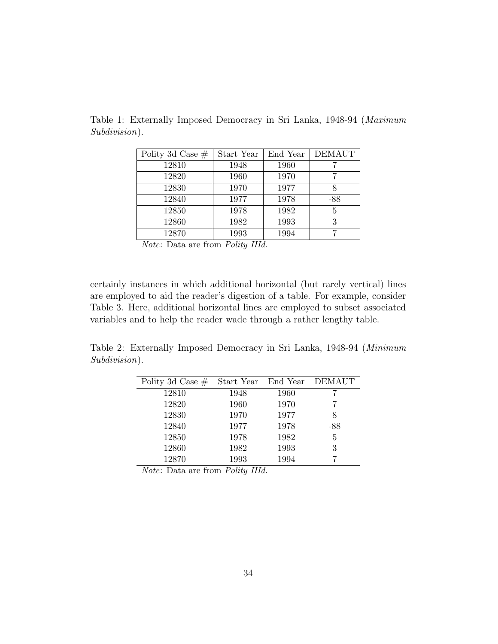| Polity 3d Case $#$ | Start Year | End Year | <b>DEMAUT</b> |
|--------------------|------------|----------|---------------|
| 12810              | 1948       | 1960     |               |
| 12820              | 1960       | 1970     |               |
| 12830              | 1970       | 1977     | 8             |
| 12840              | 1977       | 1978     | $-88$         |
| 12850              | 1978       | 1982     | 5             |
| 12860              | 1982       | 1993     | 3             |
| 12870              | 1993       | 1994     |               |

Table 1: Externally Imposed Democracy in Sri Lanka, 1948-94 (Maximum Subdivision).

Note: Data are from Polity IIId.

certainly instances in which additional horizontal (but rarely vertical) lines are employed to aid the reader's digestion of a table. For example, consider Table 3. Here, additional horizontal lines are employed to subset associated variables and to help the reader wade through a rather lengthy table.

Table 2: Externally Imposed Democracy in Sri Lanka, 1948-94 (Minimum Subdivision).

| Polity 3d Case $#$ | Start Year End Year |      | <b>DEMAUT</b> |
|--------------------|---------------------|------|---------------|
| 12810              | 1948                | 1960 |               |
| 12820              | 1960                | 1970 |               |
| 12830              | 1970                | 1977 | 8             |
| 12840              | 1977                | 1978 | $-88$         |
| 12850              | 1978                | 1982 | 5             |
| 12860              | 1982                | 1993 | 3             |
| 12870              | 1993                | 1994 |               |

Note: Data are from Polity IIId.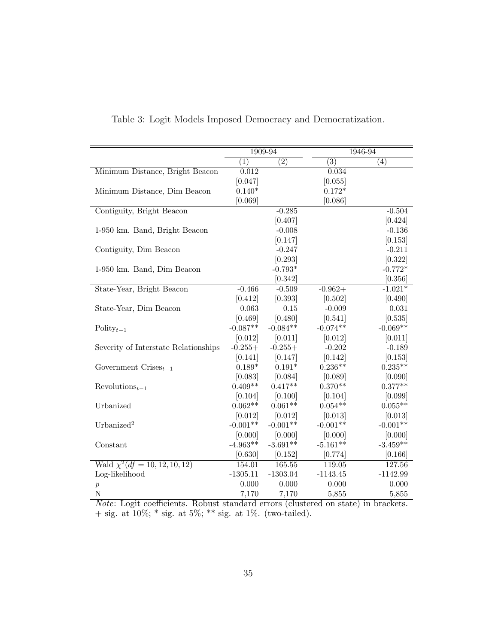|                                               | 1909-94    |                  | 1946-94          |                   |
|-----------------------------------------------|------------|------------------|------------------|-------------------|
|                                               | (1)        | $\overline{(2)}$ | $\overline{(3)}$ | $\left( 4\right)$ |
| Minimum Distance, Bright Beacon               | 0.012      |                  | 0.034            |                   |
|                                               | [0.047]    |                  | [0.055]          |                   |
| Minimum Distance, Dim Beacon                  | $0.140*$   |                  | $0.172*$         |                   |
|                                               | [0.069]    |                  | [0.086]          |                   |
| Contiguity, Bright Beacon                     |            | $-0.285$         |                  | $-0.504$          |
|                                               |            | [0.407]          |                  | [0.424]           |
| 1-950 km. Band, Bright Beacon                 |            | $-0.008$         |                  | $-0.136$          |
|                                               |            | [0.147]          |                  | [0.153]           |
| Contiguity, Dim Beacon                        |            | $-0.247$         |                  | $-0.211$          |
|                                               |            | [0.293]          |                  | [0.322]           |
| 1-950 km. Band, Dim Beacon                    |            | $-0.793*$        |                  | $-0.772*$         |
|                                               |            | [0.342]          |                  | [0.356]           |
| State-Year, Bright Beacon                     | $-0.466$   | $-0.509$         | $-0.962+$        | $-1.021*$         |
|                                               | [0.412]    | [0.393]          | [0.502]          | [0.490]           |
| State-Year, Dim Beacon                        | 0.063      | 0.15             | $-0.009$         | 0.031             |
|                                               | [0.469]    | [0.480]          | [0.541]          | [0.535]           |
| $\text{Poly}_{t-1}$                           | $-0.087**$ | $-0.084**$       | $-0.074**$       | $-0.069**$        |
|                                               | [0.012]    | [0.011]          | [0.012]          | [0.011]           |
| Severity of Interstate Relationships          | $-0.255+$  | $-0.255+$        | $-0.202$         | $-0.189$          |
|                                               | [0.141]    | [0.147]          | [0.142]          | [0.153]           |
| Government Crises <sub><math>t-1</math></sub> | $0.189*$   | $0.191*$         | $0.236**$        | $0.235**$         |
|                                               | [0.083]    | [0.084]          | [0.089]          | [0.090]           |
| $Revolutions_{t-1}$                           | $0.409**$  | $0.417**$        | $0.370**$        | $0.377**$         |
|                                               | [0.104]    | [0.100]          | [0.104]          | [0.099]           |
| Urbanized                                     | $0.062**$  | $0.061**$        | $0.054**$        | $0.055**$         |
|                                               | [0.012]    | [0.012]          | [0.013]          | [0.013]           |
| Urbanized <sup>2</sup>                        | $-0.001**$ | $-0.001**$       | $-0.001**$       | $-0.001**$        |
|                                               | [0.000]    | [0.000]          | [0.000]          | [0.000]           |
| Constant                                      | $-4.963**$ | $-3.691**$       | $-5.161**$       | $-3.459**$        |
|                                               | [0.630]    | [0.152]          | [0.774]          | [0.166]           |
| Wald $\chi^2(df = 10, 12, 10, 12)$            | 154.01     | 165.55           | 119.05           | 127.56            |
| Log-likelihood                                | $-1305.11$ | $-1303.04$       | $-1143.45$       | $-1142.99$        |
| $\boldsymbol{p}$                              | 0.000      | 0.000            | 0.000            | 0.000             |
| $\overline{N}$                                | 7,170      | 7,170            | 5,855            | 5,855             |

Table 3: Logit Models Imposed Democracy and Democratization.

Note: Logit coefficients. Robust standard errors (clustered on state) in brackets.  $+$  sig. at 10%;  $*$  sig. at 5%;  $**$  sig. at 1%. (two-tailed).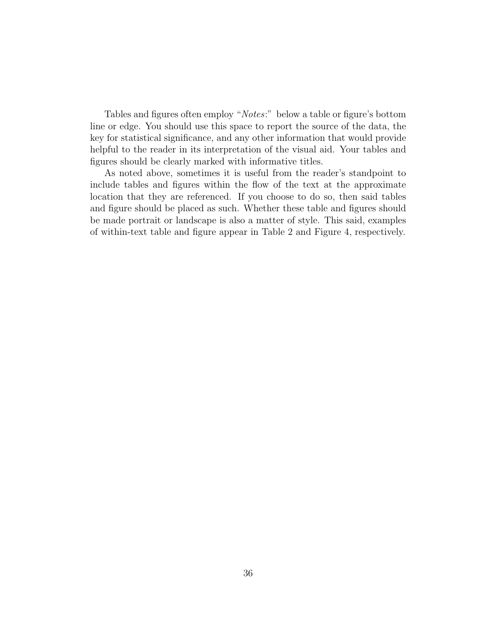Tables and figures often employ "Notes:" below a table or figure's bottom line or edge. You should use this space to report the source of the data, the key for statistical significance, and any other information that would provide helpful to the reader in its interpretation of the visual aid. Your tables and figures should be clearly marked with informative titles.

As noted above, sometimes it is useful from the reader's standpoint to include tables and figures within the flow of the text at the approximate location that they are referenced. If you choose to do so, then said tables and figure should be placed as such. Whether these table and figures should be made portrait or landscape is also a matter of style. This said, examples of within-text table and figure appear in Table 2 and Figure 4, respectively.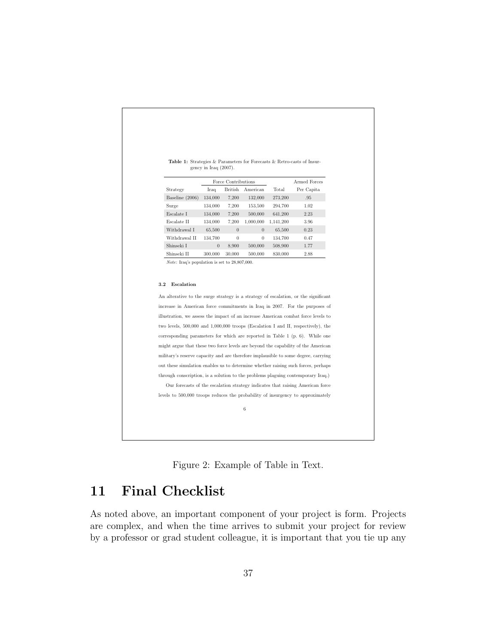|                                                                                  | Force Contributions |          |                |           | Armed Forces |
|----------------------------------------------------------------------------------|---------------------|----------|----------------|-----------|--------------|
| Strategy                                                                         | Iraq                | British  | American       | Total     | Per Capita   |
| Baseline (2006)                                                                  | 134,000             | 7,200    | 132,000        | 273,200   | .95          |
| Surge                                                                            | 134,000             | 7,200    | 153,500        | 294,700   | 1.02         |
| Escalate I                                                                       | 134,000             | 7,200    | 500,000        | 641,200   | 2.23         |
| Escalate II                                                                      | 134,000             | 7,200    | 1,000,000      | 1,141,200 | 3.96         |
| Withdrawal I                                                                     | 65,500              | $\theta$ | $\overline{0}$ | 65,500    | 0.23         |
| Withdrawal II                                                                    | 134,700             | $\theta$ | $\overline{0}$ | 134,700   | 0.47         |
| Shinseki I                                                                       | $\theta$            | 8,900    | 500,000        | 508,900   | 1.77         |
| Shinseki II                                                                      | 300,000             | 30,000   | 500,000        | 830,000   | 2.88         |
| <i>Note:</i> Iraq's population is set to $28,807,000$ .<br>Escalation<br>$3.2\,$ |                     |          |                |           |              |

 ${\bf Table~1:}$  Strategies  $\&$  Parameters for Forecasts  $\&$  Retro-casts of Insurgency in Iraq (2007).

An alterative to the surge strategy is a strategy of escalation, or the significant increase in American force commitments in Iraq in 2007. For the purposes of illustration, we assess the impact of an increase American combat force levels to two levels, 500,000 and 1,000,000 troops (Escalation I and II, respectively), the corresponding parameters for which are reported in Table 1 (p. 6). While one might argue that these two force levels are beyond the capability of the American military's reserve capacity and are therefore implausible to some degree, carrying out these simulation enables us to determine whether raising such forces, perhaps through conscription, is a solution to the problems plaguing contemporary Iraq.) Our forecasts of the escalation strategy indicates that raising American force levels to 500,000 troops reduces the probability of insurgency to approximately

6



# 11 Final Checklist

As noted above, an important component of your project is form. Projects are complex, and when the time arrives to submit your project for review by a professor or grad student colleague, it is important that you tie up any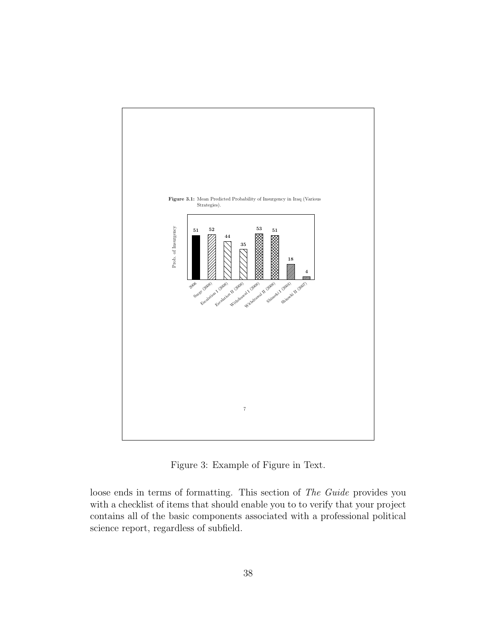

Figure 3: Example of Figure in Text.

loose ends in terms of formatting. This section of The Guide provides you with a checklist of items that should enable you to to verify that your project contains all of the basic components associated with a professional political science report, regardless of subfield.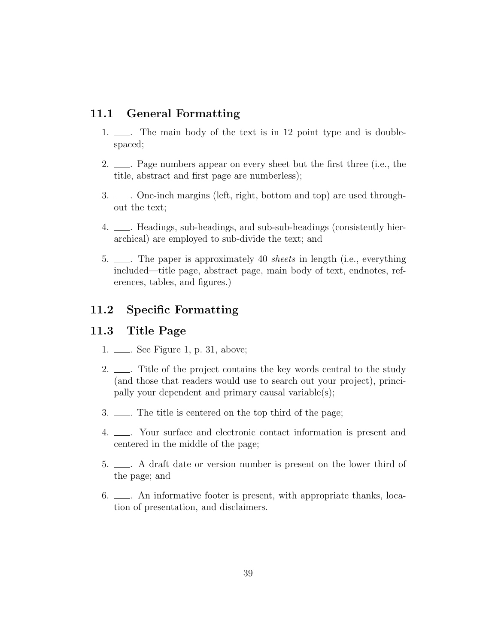# 11.1 General Formatting

- 1.  $\qquad$ . The main body of the text is in 12 point type and is doublespaced;
- 2.  $\qquad \qquad$  Page numbers appear on every sheet but the first three (i.e., the title, abstract and first page are numberless);
- 3. <u>. . One-inch margins</u> (left, right, bottom and top) are used throughout the text;
- 4. . Headings, sub-headings, and sub-sub-headings (consistently hierarchical) are employed to sub-divide the text; and
- 5. ....... The paper is approximately 40 *sheets* in length (i.e., everything included—title page, abstract page, main body of text, endnotes, references, tables, and figures.)

# 11.2 Specific Formatting

# 11.3 Title Page

- 1. <u>...</u> See Figure 1, p. 31, above;
- 2.  $\frac{1}{2}$ . Title of the project contains the key words central to the study (and those that readers would use to search out your project), principally your dependent and primary causal variable(s);
- 3.  $\Box$  The title is centered on the top third of the page;
- 4. . Your surface and electronic contact information is present and centered in the middle of the page;
- 5.  $\qquad \qquad$  A draft date or version number is present on the lower third of the page; and
- 6. . An informative footer is present, with appropriate thanks, location of presentation, and disclaimers.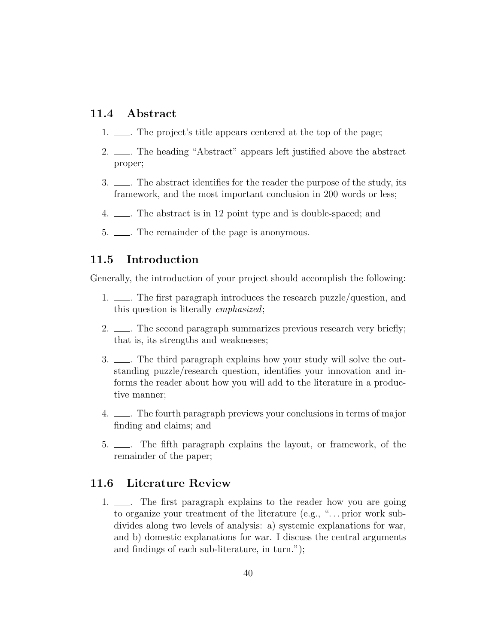### 11.4 Abstract

- 1.  $\qquad \qquad$  The project's title appears centered at the top of the page;
- 2. <u>. . The heading</u> "Abstract" appears left justified above the abstract proper;
- 3.  $\Box$ . The abstract identifies for the reader the purpose of the study, its framework, and the most important conclusion in 200 words or less;
- 4.  $\equiv$  The abstract is in 12 point type and is double-spaced; and
- 5.  $\frac{1}{2}$ . The remainder of the page is anonymous.

### 11.5 Introduction

Generally, the introduction of your project should accomplish the following:

- 1. .......... The first paragraph introduces the research puzzle/question, and this question is literally emphasized;
- 2.  $\frac{1}{2}$ . The second paragraph summarizes previous research very briefly; that is, its strengths and weaknesses;
- 3.  $\Box$ . The third paragraph explains how your study will solve the outstanding puzzle/research question, identifies your innovation and informs the reader about how you will add to the literature in a productive manner;
- 4. . The fourth paragraph previews your conclusions in terms of major finding and claims; and
- 5. . The fifth paragraph explains the layout, or framework, of the remainder of the paper;

### 11.6 Literature Review

1. .......... The first paragraph explains to the reader how you are going to organize your treatment of the literature (e.g., ". . . prior work subdivides along two levels of analysis: a) systemic explanations for war, and b) domestic explanations for war. I discuss the central arguments and findings of each sub-literature, in turn.");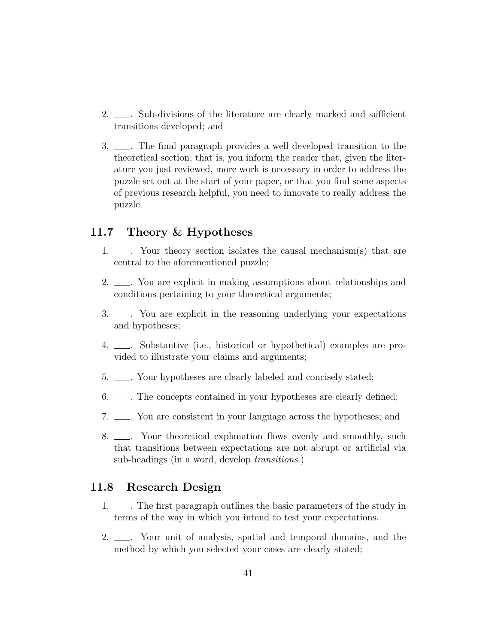- 2. <u>. Sub-divisions</u> of the literature are clearly marked and sufficient transitions developed; and
- 3. . The final paragraph provides a well developed transition to the theoretical section; that is, you inform the reader that, given the literature you just reviewed, more work is necessary in order to address the puzzle set out at the start of your paper, or that you find some aspects of previous research helpful, you need to innovate to really address the puzzle.

# 11.7 Theory & Hypotheses

- 1.  $\qquad \qquad$  Your theory section isolates the causal mechanism(s) that are central to the aforementioned puzzle;
- 2.  $\frac{1}{2}$ . You are explicit in making assumptions about relationships and conditions pertaining to your theoretical arguments;
- 3.  $\qquad \qquad$  You are explicit in the reasoning underlying your expectations and hypotheses;
- 4. . Substantive (i.e., historical or hypothetical) examples are provided to illustrate your claims and arguments;
- 5.  $\qquad \qquad$  Your hypotheses are clearly labeled and concisely stated;
- 6.  $\Box$  The concepts contained in your hypotheses are clearly defined;
- 7. <u>...</u> You are consistent in your language across the hypotheses; and
- 8.  $\Box$  Your theoretical explanation flows evenly and smoothly, such that transitions between expectations are not abrupt or artificial via sub-headings (in a word, develop transitions.)

# 11.8 Research Design

- 1.  $\qquad \qquad$ . The first paragraph outlines the basic parameters of the study in terms of the way in which you intend to test your expectations.
- 2.  $\Box$  Your unit of analysis, spatial and temporal domains, and the method by which you selected your cases are clearly stated;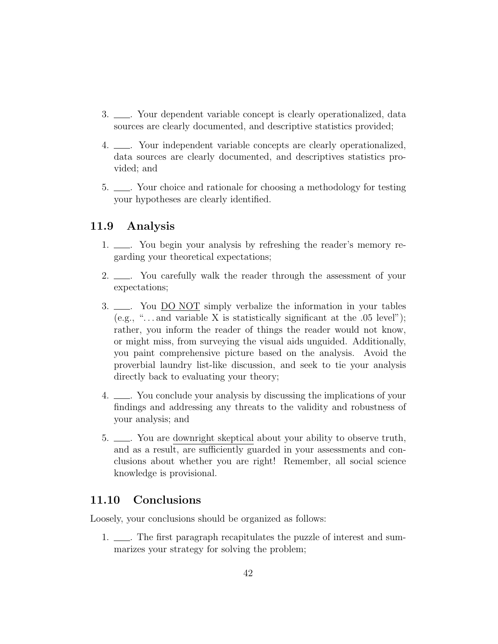- 3.  $\qquad \qquad$  Your dependent variable concept is clearly operationalized, data sources are clearly documented, and descriptive statistics provided;
- 4. ........ Your independent variable concepts are clearly operationalized, data sources are clearly documented, and descriptives statistics provided; and
- 5. <u>. . Your choice and rationale for choosing</u> a methodology for testing your hypotheses are clearly identified.

# 11.9 Analysis

- 1.  $\_\_\_\_\$ . You begin your analysis by refreshing the reader's memory regarding your theoretical expectations;
- 2.  $\Box$  You carefully walk the reader through the assessment of your expectations;
- 3.  $\Box$  You DO NOT simply verbalize the information in your tables (e.g., "... and variable X is statistically significant at the  $.05$  level"); rather, you inform the reader of things the reader would not know, or might miss, from surveying the visual aids unguided. Additionally, you paint comprehensive picture based on the analysis. Avoid the proverbial laundry list-like discussion, and seek to tie your analysis directly back to evaluating your theory;
- 4. . You conclude your analysis by discussing the implications of your findings and addressing any threats to the validity and robustness of your analysis; and
- 5.  $\_\_\_\$ germ. You are downright skeptical about your ability to observe truth, and as a result, are sufficiently guarded in your assessments and conclusions about whether you are right! Remember, all social science knowledge is provisional.

# 11.10 Conclusions

Loosely, your conclusions should be organized as follows:

1.  $\qquad$ . The first paragraph recapitulates the puzzle of interest and summarizes your strategy for solving the problem;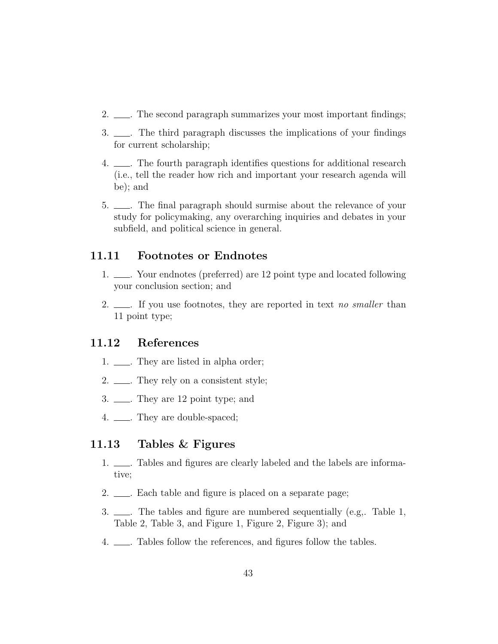- 2.  $\frac{1}{2}$ . The second paragraph summarizes your most important findings;
- 3.  $\qquad$ . The third paragraph discusses the implications of your findings for current scholarship;
- 4. . The fourth paragraph identifies questions for additional research (i.e., tell the reader how rich and important your research agenda will be); and
- 5. <u>. . The final paragraph should surmise</u> about the relevance of your study for policymaking, any overarching inquiries and debates in your subfield, and political science in general.

### 11.11 Footnotes or Endnotes

- 1.  $\frac{1}{\sqrt{1-\frac{1}{\sqrt{1-\frac{1}{\sqrt{1-\frac{1}{\sqrt{1-\frac{1}{\sqrt{1-\frac{1}{\sqrt{1-\frac{1}{\sqrt{1-\frac{1}{\sqrt{1-\frac{1}{\sqrt{1-\frac{1}{\sqrt{1-\frac{1}{\sqrt{1-\frac{1}{\sqrt{1-\frac{1}{\sqrt{1-\frac{1}{\sqrt{1-\frac{1}{\sqrt{1-\frac{1}{\sqrt{1-\frac{1}{\sqrt{1-\frac{1}{\sqrt{1-\frac{1}{\sqrt{1-\frac{1}{\sqrt{1-\frac{1}{\sqrt{1-\frac{1}{\sqrt{1-\frac{1}{\sqrt{1-\frac{1}{\sqrt{1-\frac$ your conclusion section; and
- 2.  $\Box$  If you use footnotes, they are reported in text no smaller than 11 point type;

### 11.12 References

- 1.  $\frac{1}{1}$ . They are listed in alpha order;
- 2.  $\frac{1}{2}$ . They rely on a consistent style;
- 3. <u>...</u> They are 12 point type; and
- 4. <u>...</u> They are double-spaced;

### 11.13 Tables & Figures

- 1.  $\qquad$ . Tables and figures are clearly labeled and the labels are informative;
- 2.  $\qquad \qquad$  Each table and figure is placed on a separate page;
- 3.  $\Box$ . The tables and figure are numbered sequentially (e.g., Table 1, Table 2, Table 3, and Figure 1, Figure 2, Figure 3); and
- 4. . Tables follow the references, and figures follow the tables.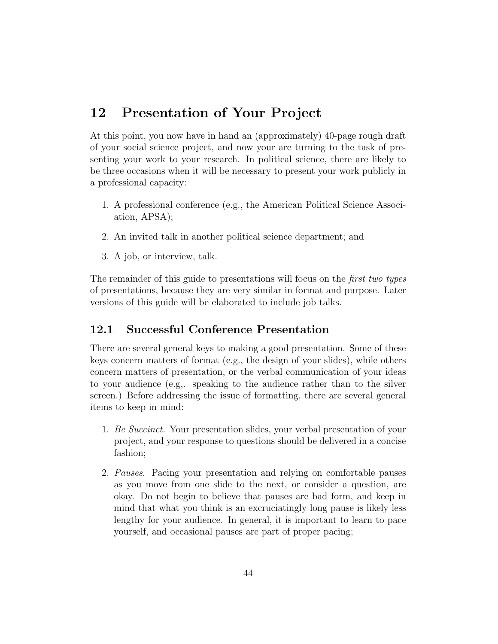# 12 Presentation of Your Project

At this point, you now have in hand an (approximately) 40-page rough draft of your social science project, and now your are turning to the task of presenting your work to your research. In political science, there are likely to be three occasions when it will be necessary to present your work publicly in a professional capacity:

- 1. A professional conference (e.g., the American Political Science Association, APSA);
- 2. An invited talk in another political science department; and
- 3. A job, or interview, talk.

The remainder of this guide to presentations will focus on the *first two types* of presentations, because they are very similar in format and purpose. Later versions of this guide will be elaborated to include job talks.

# 12.1 Successful Conference Presentation

There are several general keys to making a good presentation. Some of these keys concern matters of format (e.g., the design of your slides), while others concern matters of presentation, or the verbal communication of your ideas to your audience (e.g,. speaking to the audience rather than to the silver screen.) Before addressing the issue of formatting, there are several general items to keep in mind:

- 1. Be Succinct. Your presentation slides, your verbal presentation of your project, and your response to questions should be delivered in a concise fashion;
- 2. Pauses. Pacing your presentation and relying on comfortable pauses as you move from one slide to the next, or consider a question, are okay. Do not begin to believe that pauses are bad form, and keep in mind that what you think is an excruciatingly long pause is likely less lengthy for your audience. In general, it is important to learn to pace yourself, and occasional pauses are part of proper pacing;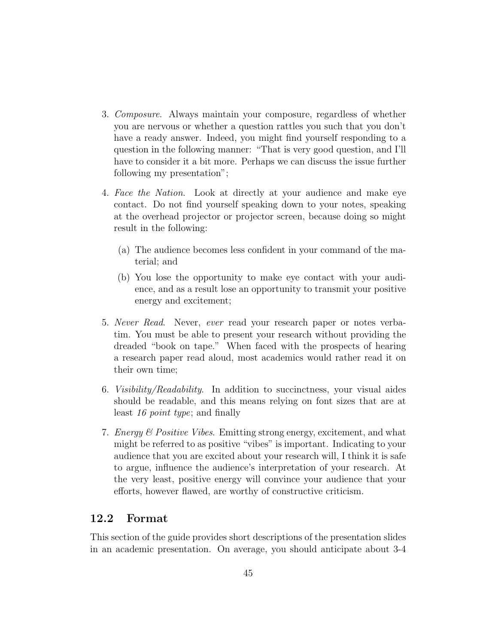- 3. Composure. Always maintain your composure, regardless of whether you are nervous or whether a question rattles you such that you don't have a ready answer. Indeed, you might find yourself responding to a question in the following manner: "That is very good question, and I'll have to consider it a bit more. Perhaps we can discuss the issue further following my presentation";
- 4. Face the Nation. Look at directly at your audience and make eye contact. Do not find yourself speaking down to your notes, speaking at the overhead projector or projector screen, because doing so might result in the following:
	- (a) The audience becomes less confident in your command of the material; and
	- (b) You lose the opportunity to make eye contact with your audience, and as a result lose an opportunity to transmit your positive energy and excitement;
- 5. Never Read. Never, ever read your research paper or notes verbatim. You must be able to present your research without providing the dreaded "book on tape." When faced with the prospects of hearing a research paper read aloud, most academics would rather read it on their own time;
- 6. Visibility/Readability. In addition to succinctness, your visual aides should be readable, and this means relying on font sizes that are at least 16 point type; and finally
- 7. Energy & Positive Vibes. Emitting strong energy, excitement, and what might be referred to as positive "vibes" is important. Indicating to your audience that you are excited about your research will, I think it is safe to argue, influence the audience's interpretation of your research. At the very least, positive energy will convince your audience that your efforts, however flawed, are worthy of constructive criticism.

# 12.2 Format

This section of the guide provides short descriptions of the presentation slides in an academic presentation. On average, you should anticipate about 3-4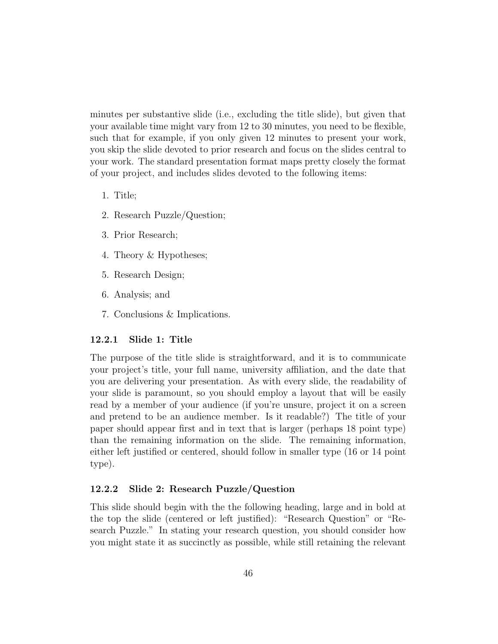minutes per substantive slide (i.e., excluding the title slide), but given that your available time might vary from 12 to 30 minutes, you need to be flexible, such that for example, if you only given 12 minutes to present your work, you skip the slide devoted to prior research and focus on the slides central to your work. The standard presentation format maps pretty closely the format of your project, and includes slides devoted to the following items:

- 1. Title;
- 2. Research Puzzle/Question;
- 3. Prior Research;
- 4. Theory & Hypotheses;
- 5. Research Design;
- 6. Analysis; and
- 7. Conclusions & Implications.

#### 12.2.1 Slide 1: Title

The purpose of the title slide is straightforward, and it is to communicate your project's title, your full name, university affiliation, and the date that you are delivering your presentation. As with every slide, the readability of your slide is paramount, so you should employ a layout that will be easily read by a member of your audience (if you're unsure, project it on a screen and pretend to be an audience member. Is it readable?) The title of your paper should appear first and in text that is larger (perhaps 18 point type) than the remaining information on the slide. The remaining information, either left justified or centered, should follow in smaller type (16 or 14 point type).

### 12.2.2 Slide 2: Research Puzzle/Question

This slide should begin with the the following heading, large and in bold at the top the slide (centered or left justified): "Research Question" or "Research Puzzle." In stating your research question, you should consider how you might state it as succinctly as possible, while still retaining the relevant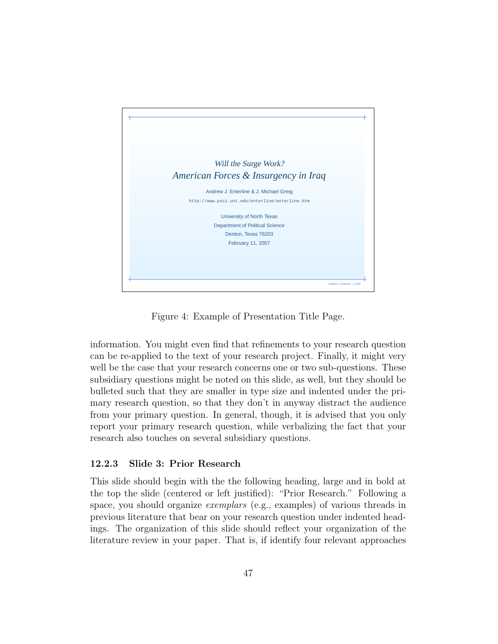

Figure 4: Example of Presentation Title Page.

information. You might even find that refinements to your research question can be re-applied to the text of your research project. Finally, it might very well be the case that your research concerns one or two sub-questions. These subsidiary questions might be noted on this slide, as well, but they should be bulleted such that they are smaller in type size and indented under the primary research question, so that they don't in anyway distract the audience from your primary question. In general, though, it is advised that you only report your primary research question, while verbalizing the fact that your research also touches on several subsidiary questions.

### 12.2.3 Slide 3: Prior Research

This slide should begin with the the following heading, large and in bold at the top the slide (centered or left justified): "Prior Research." Following a space, you should organize exemplars (e.g., examples) of various threads in previous literature that bear on your research question under indented headings. The organization of this slide should reflect your organization of the literature review in your paper. That is, if identify four relevant approaches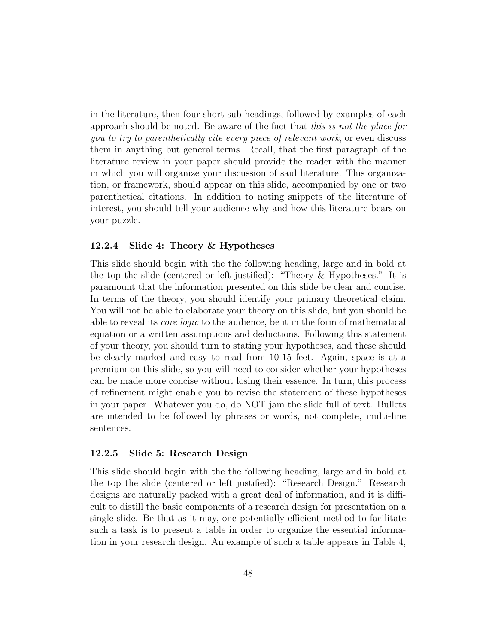in the literature, then four short sub-headings, followed by examples of each approach should be noted. Be aware of the fact that this is not the place for you to try to parenthetically cite every piece of relevant work, or even discuss them in anything but general terms. Recall, that the first paragraph of the literature review in your paper should provide the reader with the manner in which you will organize your discussion of said literature. This organization, or framework, should appear on this slide, accompanied by one or two parenthetical citations. In addition to noting snippets of the literature of interest, you should tell your audience why and how this literature bears on your puzzle.

### 12.2.4 Slide 4: Theory & Hypotheses

This slide should begin with the the following heading, large and in bold at the top the slide (centered or left justified): "Theory & Hypotheses." It is paramount that the information presented on this slide be clear and concise. In terms of the theory, you should identify your primary theoretical claim. You will not be able to elaborate your theory on this slide, but you should be able to reveal its core logic to the audience, be it in the form of mathematical equation or a written assumptions and deductions. Following this statement of your theory, you should turn to stating your hypotheses, and these should be clearly marked and easy to read from 10-15 feet. Again, space is at a premium on this slide, so you will need to consider whether your hypotheses can be made more concise without losing their essence. In turn, this process of refinement might enable you to revise the statement of these hypotheses in your paper. Whatever you do, do NOT jam the slide full of text. Bullets are intended to be followed by phrases or words, not complete, multi-line sentences.

#### 12.2.5 Slide 5: Research Design

This slide should begin with the the following heading, large and in bold at the top the slide (centered or left justified): "Research Design." Research designs are naturally packed with a great deal of information, and it is difficult to distill the basic components of a research design for presentation on a single slide. Be that as it may, one potentially efficient method to facilitate such a task is to present a table in order to organize the essential information in your research design. An example of such a table appears in Table 4,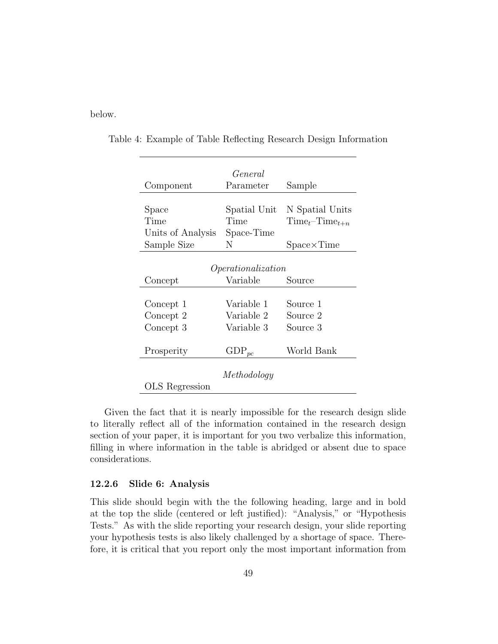below.

|                    | General      |                     |  |  |  |  |
|--------------------|--------------|---------------------|--|--|--|--|
| Component          | Parameter    | Sample              |  |  |  |  |
|                    |              |                     |  |  |  |  |
| Space              | Spatial Unit | N Spatial Units     |  |  |  |  |
| Time               | Time         | $Timet-Timet+n$     |  |  |  |  |
| Units of Analysis  | Space-Time   |                     |  |  |  |  |
| Sample Size        | N            | $Space \times Time$ |  |  |  |  |
|                    |              |                     |  |  |  |  |
| Operationalization |              |                     |  |  |  |  |
| Concept            | Variable     | Source              |  |  |  |  |
|                    |              |                     |  |  |  |  |
| Concept 1          | Variable 1   | Source 1            |  |  |  |  |
| Concept 2          | Variable 2   | Source 2            |  |  |  |  |
| Concept 3          | Variable 3   | Source 3            |  |  |  |  |
|                    |              |                     |  |  |  |  |
| Prosperity         | $GDP_{pc}$   | World Bank          |  |  |  |  |
|                    |              |                     |  |  |  |  |
| Methodology        |              |                     |  |  |  |  |
| OLS Regression     |              |                     |  |  |  |  |

Table 4: Example of Table Reflecting Research Design Information

Given the fact that it is nearly impossible for the research design slide to literally reflect all of the information contained in the research design section of your paper, it is important for you two verbalize this information, filling in where information in the table is abridged or absent due to space considerations.

#### 12.2.6 Slide 6: Analysis

This slide should begin with the the following heading, large and in bold at the top the slide (centered or left justified): "Analysis," or "Hypothesis Tests." As with the slide reporting your research design, your slide reporting your hypothesis tests is also likely challenged by a shortage of space. Therefore, it is critical that you report only the most important information from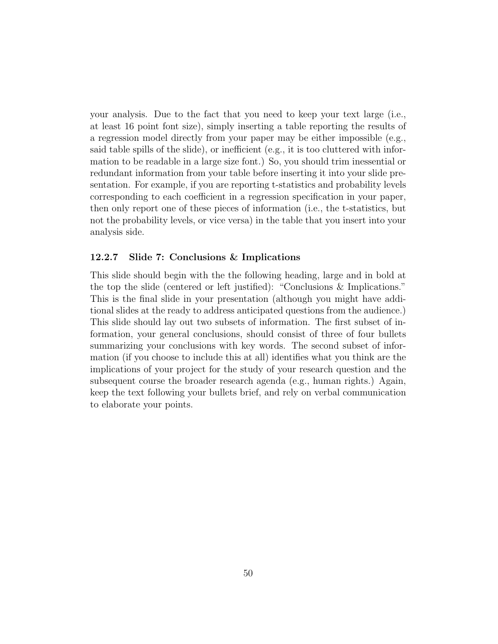your analysis. Due to the fact that you need to keep your text large (i.e., at least 16 point font size), simply inserting a table reporting the results of a regression model directly from your paper may be either impossible (e.g., said table spills of the slide), or inefficient (e.g., it is too cluttered with information to be readable in a large size font.) So, you should trim inessential or redundant information from your table before inserting it into your slide presentation. For example, if you are reporting t-statistics and probability levels corresponding to each coefficient in a regression specification in your paper, then only report one of these pieces of information (i.e., the t-statistics, but not the probability levels, or vice versa) in the table that you insert into your analysis side.

### 12.2.7 Slide 7: Conclusions & Implications

This slide should begin with the the following heading, large and in bold at the top the slide (centered or left justified): "Conclusions & Implications." This is the final slide in your presentation (although you might have additional slides at the ready to address anticipated questions from the audience.) This slide should lay out two subsets of information. The first subset of information, your general conclusions, should consist of three of four bullets summarizing your conclusions with key words. The second subset of information (if you choose to include this at all) identifies what you think are the implications of your project for the study of your research question and the subsequent course the broader research agenda (e.g., human rights.) Again, keep the text following your bullets brief, and rely on verbal communication to elaborate your points.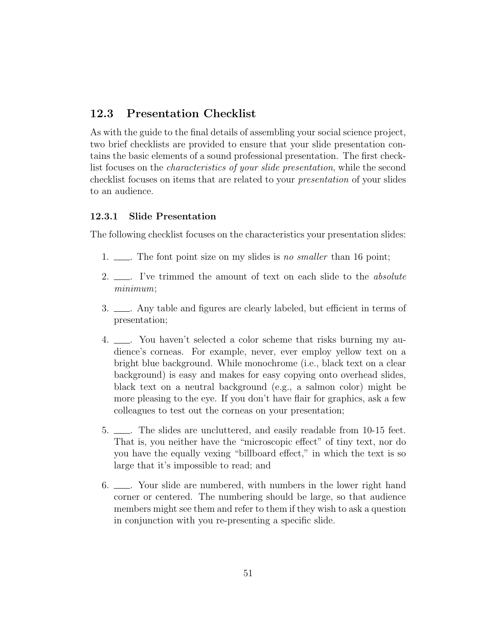# 12.3 Presentation Checklist

As with the guide to the final details of assembling your social science project, two brief checklists are provided to ensure that your slide presentation contains the basic elements of a sound professional presentation. The first checklist focuses on the characteristics of your slide presentation, while the second checklist focuses on items that are related to your presentation of your slides to an audience.

### 12.3.1 Slide Presentation

The following checklist focuses on the characteristics your presentation slides:

- 1.  $\_\_\_\_\$ . The font point size on my slides is no smaller than 16 point;
- 2.  $\Box$  I've trimmed the amount of text on each slide to the *absolute* minimum;
- 3.  $\qquad$ . Any table and figures are clearly labeled, but efficient in terms of presentation;
- 4.  $\equiv$  You haven't selected a color scheme that risks burning my audience's corneas. For example, never, ever employ yellow text on a bright blue background. While monochrome (i.e., black text on a clear background) is easy and makes for easy copying onto overhead slides, black text on a neutral background (e.g., a salmon color) might be more pleasing to the eye. If you don't have flair for graphics, ask a few colleagues to test out the corneas on your presentation;
- 5. . The slides are uncluttered, and easily readable from 10-15 feet. That is, you neither have the "microscopic effect" of tiny text, nor do you have the equally vexing "billboard effect," in which the text is so large that it's impossible to read; and
- 6. <u>. . Your slide are numbered</u>, with numbers in the lower right hand corner or centered. The numbering should be large, so that audience members might see them and refer to them if they wish to ask a question in conjunction with you re-presenting a specific slide.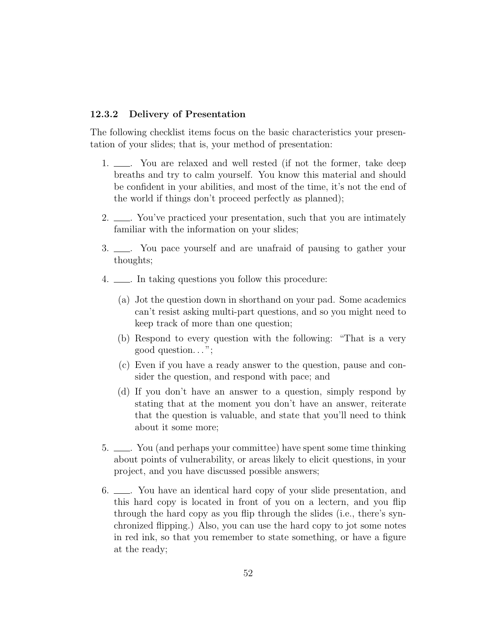#### 12.3.2 Delivery of Presentation

The following checklist items focus on the basic characteristics your presentation of your slides; that is, your method of presentation:

- 1.  $\Box$  You are relaxed and well rested (if not the former, take deep breaths and try to calm yourself. You know this material and should be confident in your abilities, and most of the time, it's not the end of the world if things don't proceed perfectly as planned);
- 2.  $\frac{1}{2}$ . You've practiced your presentation, such that you are intimately familiar with the information on your slides;
- 3.  $\qquad \qquad$  You pace yourself and are unafraid of pausing to gather your thoughts;
- 4.  $\equiv$  In taking questions you follow this procedure:
	- (a) Jot the question down in shorthand on your pad. Some academics can't resist asking multi-part questions, and so you might need to keep track of more than one question;
	- (b) Respond to every question with the following: "That is a very good question. . . ";
	- (c) Even if you have a ready answer to the question, pause and consider the question, and respond with pace; and
	- (d) If you don't have an answer to a question, simply respond by stating that at the moment you don't have an answer, reiterate that the question is valuable, and state that you'll need to think about it some more;
- 5. . You (and perhaps your committee) have spent some time thinking about points of vulnerability, or areas likely to elicit questions, in your project, and you have discussed possible answers;
- 6. <u>. . You have an identical hard copy of your slide</u> presentation, and this hard copy is located in front of you on a lectern, and you flip through the hard copy as you flip through the slides (i.e., there's synchronized flipping.) Also, you can use the hard copy to jot some notes in red ink, so that you remember to state something, or have a figure at the ready;